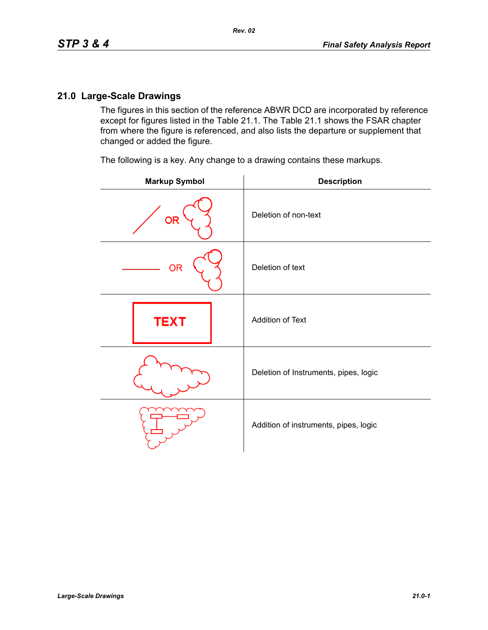The figures in this section of the reference ABWR DCD are incorporated by reference except for figures listed in the Table 21.1. The Table 21.1 shows the FSAR chapter from where the figure is referenced, and also lists the departure or supplement that changed or added the figure.

The following is a key. Any change to a drawing contains these markups.

| <b>Markup Symbol</b> | <b>Description</b>                    |
|----------------------|---------------------------------------|
| <b>OR</b>            | Deletion of non-text                  |
| <b>OR</b>            | Deletion of text                      |
| <b>TEXT</b>          | Addition of Text                      |
|                      | Deletion of Instruments, pipes, logic |
|                      | Addition of instruments, pipes, logic |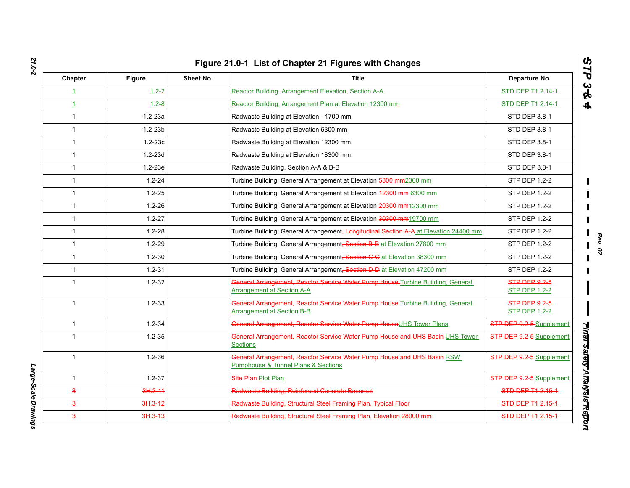| Chapter                 | <b>Figure</b> | Sheet No. | <b>Title</b>                                                                                                         | Departure No.                         |
|-------------------------|---------------|-----------|----------------------------------------------------------------------------------------------------------------------|---------------------------------------|
| $\mathbf{1}$            | $1.2 - 2$     |           | Reactor Building, Arrangement Elevation, Section A-A                                                                 | STD DEP T1 2.14-1                     |
| $\mathbf{1}$            | $1.2 - 8$     |           | Reactor Building, Arrangement Plan at Elevation 12300 mm                                                             | STD DEP T1 2.14-1                     |
| $\mathbf{1}$            | $1.2 - 23a$   |           | Radwaste Building at Elevation - 1700 mm                                                                             | STD DEP 3.8-1                         |
| $\mathbf{1}$            | $1.2 - 23b$   |           | Radwaste Building at Elevation 5300 mm                                                                               | STD DEP 3.8-1                         |
| $\mathbf{1}$            | $1.2 - 23c$   |           | Radwaste Building at Elevation 12300 mm                                                                              | <b>STD DEP 3.8-1</b>                  |
| $\mathbf{1}$            | $1.2 - 23d$   |           | Radwaste Building at Elevation 18300 mm                                                                              | STD DEP 3.8-1                         |
| $\mathbf{1}$            | $1.2 - 23e$   |           | Radwaste Building, Section A-A & B-B                                                                                 | STD DEP 3.8-1                         |
| $\mathbf{1}$            | $1.2 - 24$    |           | Turbine Building, General Arrangement at Elevation 5300 mm2300 mm                                                    | STP DEP 1.2-2                         |
| $\mathbf{1}$            | $1.2 - 25$    |           | Turbine Building, General Arrangement at Elevation 42300 mm-6300 mm                                                  | STP DEP 1.2-2                         |
| $\mathbf{1}$            | $1.2 - 26$    |           | Turbine Building, General Arrangement at Elevation 20300 mm12300 mm                                                  | <b>STP DEP 1.2-2</b>                  |
| $\mathbf{1}$            | $1.2 - 27$    |           | Turbine Building, General Arrangement at Elevation 30300 mm 19700 mm                                                 | <b>STP DEP 1.2-2</b>                  |
| $\mathbf{1}$            | $1.2 - 28$    |           | Turbine Building, General Arrangement, Longitudinal Section A-A at Elevation 24400 mm                                | <b>STP DEP 1.2-2</b>                  |
| $\mathbf{1}$            | $1.2 - 29$    |           | Turbine Building, General Arrangement, Section B-B at Elevation 27800 mm                                             | <b>STP DEP 1.2-2</b>                  |
| $\mathbf{1}$            | $1.2 - 30$    |           | Turbine Building, General Arrangement <del>, Section C-C</del> at Elevation 38300 mm                                 | <b>STP DEP 1.2-2</b>                  |
| $\mathbf{1}$            | $1.2 - 31$    |           | Turbine Building, General Arrangement, Section D-D at Elevation 47200 mm                                             | STP DEP 1.2-2                         |
| $\mathbf{1}$            | $1.2 - 32$    |           | General Arrangement, Reactor Service Water Pump House-Turbine Building, General<br><b>Arrangement at Section A-A</b> | STP DEP 9.2-5<br><b>STP DEP 1.2-2</b> |
| $\mathbf{1}$            | $1.2 - 33$    |           | General Arrangement, Reactor Service Water Pump House-Turbine Building, General<br><b>Arrangement at Section B-B</b> | STP DEP 0.2-5<br><b>STP DEP 1.2-2</b> |
| $\mathbf{1}$            | $1.2 - 34$    |           | General Arrangement, Reactor Service Water Pump HouseUHS Tower Plans                                                 | STP DEP 9.2-5-Supplement              |
| $\mathbf{1}$            | $1.2 - 35$    |           | General Arrangement, Reactor Service Water Pump House and UHS Basin UHS Tower<br><b>Sections</b>                     | STP DEP 9.2-5-Supplement              |
| $\mathbf{1}$            | $1.2 - 36$    |           | General Arrangement, Reactor Service Water Pump House and UHS Basin RSW<br>Pumphouse & Tunnel Plans & Sections       | STP DEP 9.2-5-Supplement              |
| $\mathbf{1}$            | $1.2 - 37$    |           | Site Plan-Plot Plan                                                                                                  | STP DEP 9.2-5-Supplement              |
| $\overline{\mathbf{3}}$ | $3H.3 - 11$   |           | Radwaste Building, Reinforced Concrete Basemat                                                                       | STD DEP T1 2.15-1                     |
| $\mathbf{a}$            | 3H.3-12       |           | Radwaste Building, Structural Steel Framing Plan, Typical Floor                                                      | STD DEP T1 2.15-1                     |
| $\overline{\mathbf{3}}$ | $3H.3-13$     |           | Radwaste Building, Structural Steel Framing Plan, Elevation 28000 mm                                                 | STD DEP T1 2.15-1                     |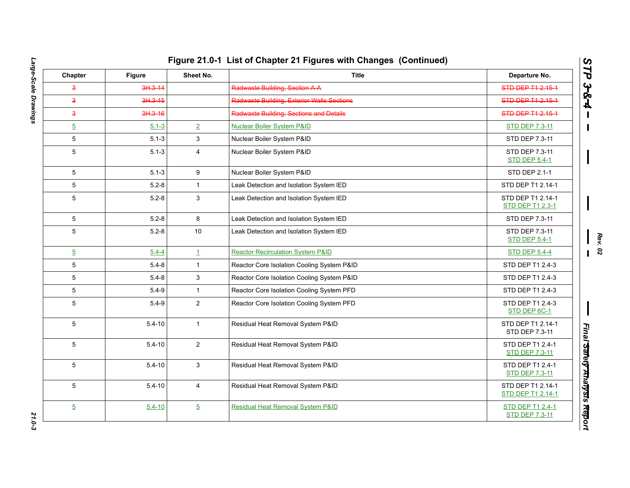| Chapter                 | Figure      | Sheet No.      | <b>Title</b>                                      | Departure No.                                    |
|-------------------------|-------------|----------------|---------------------------------------------------|--------------------------------------------------|
| $\overline{\mathbf{3}}$ | $3H.3 - 14$ |                | Radwaste Building, Section A-A                    | STD DEP T1 2.15-1                                |
| $\overline{\mathbf{3}}$ | 3H.3-15     |                | <b>Radwaste Building, Exterior Walls Sections</b> | STD DEP T1 2.15-1                                |
| $\overline{\mathbf{3}}$ | 3H.3-16     |                | Radwaste Building, Sections and Details           | STD DEP T1 2.15-1                                |
| $\overline{5}$          | $5.1 - 3$   | $\overline{2}$ | <b>Nuclear Boiler System P&amp;ID</b>             | <b>STD DEP 7.3-11</b>                            |
| 5                       | $5.1 - 3$   | 3              | Nuclear Boiler System P&ID                        | STD DEP 7.3-11                                   |
| 5                       | $5.1 - 3$   | $\overline{4}$ | Nuclear Boiler System P&ID                        | STD DEP 7.3-11<br><b>STD DEP 5.4-1</b>           |
| 5                       | $5.1 - 3$   | 9              | Nuclear Boiler System P&ID                        | STD DEP 2.1-1                                    |
| $\overline{5}$          | $5.2 - 8$   | $\mathbf{1}$   | Leak Detection and Isolation System IED           | STD DEP T1 2.14-1                                |
| 5                       | $5.2 - 8$   | 3              | Leak Detection and Isolation System IED           | STD DEP T1 2.14-1<br><b>STD DEP T1 2.3-1</b>     |
| 5                       | $5.2 - 8$   | 8              | Leak Detection and Isolation System IED           | STD DEP 7.3-11                                   |
| 5                       | $5.2 - 8$   | 10             | Leak Detection and Isolation System IED           | STD DEP 7.3-11<br><b>STD DEP 5.4-1</b>           |
| $\overline{5}$          | $5.4 - 4$   | $\mathbf{1}$   | <b>Reactor Recirculation System P&amp;ID</b>      | <b>STD DEP 5.4-4</b>                             |
| 5                       | $5.4 - 8$   | $\mathbf{1}$   | Reactor Core Isolation Cooling System P&ID        | STD DEP T1 2.4-3                                 |
| 5                       | $5.4 - 8$   | 3              | Reactor Core Isolation Cooling System P&ID        | STD DEP T1 2.4-3                                 |
| 5                       | $5.4 - 9$   | $\mathbf{1}$   | Reactor Core Isolation Cooling System PFD         | STD DEP T1 2.4-3                                 |
| 5                       | $5.4 - 9$   | $\overline{2}$ | Reactor Core Isolation Cooling System PFD         | STD DEP T1 2.4-3<br>STD DEP 6C-1                 |
| 5                       | $5.4 - 10$  | $\mathbf{1}$   | Residual Heat Removal System P&ID                 | STD DEP T1 2.14-1<br>STD DEP 7.3-11              |
| 5                       | $5.4 - 10$  | $\overline{2}$ | Residual Heat Removal System P&ID                 | STD DEP T1 2.4-1<br><b>STD DEP 7.3-11</b>        |
| 5                       | $5.4 - 10$  | 3              | Residual Heat Removal System P&ID                 | STD DEP T1 2.4-1<br><b>STD DEP 7.3-11</b>        |
| 5                       | $5.4 - 10$  | 4              | Residual Heat Removal System P&ID                 | STD DEP T1 2.14-1<br>STD DEP T1 2.14-1           |
| $\overline{5}$          | $5.4 - 10$  | $\overline{5}$ | <b>Residual Heat Removal System P&amp;ID</b>      | <b>STD DEP T1 2.4-1</b><br><b>STD DEP 7.3-11</b> |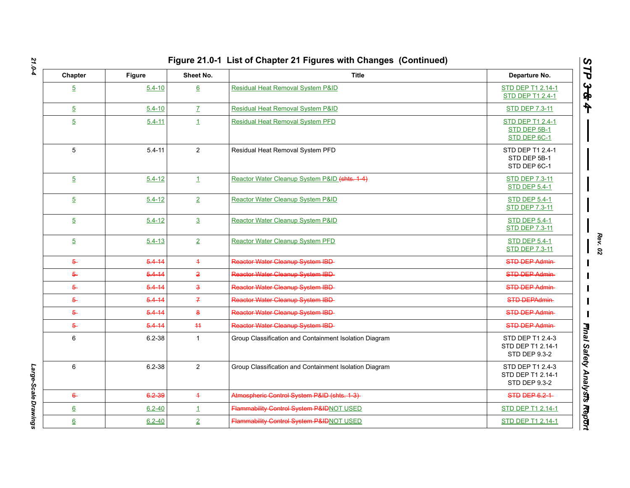| Chapter          | <b>Figure</b> | Sheet No.           | <b>Title</b>                                           | Departure No.                                          |
|------------------|---------------|---------------------|--------------------------------------------------------|--------------------------------------------------------|
| $\overline{5}$   | $5.4 - 10$    | $6\overline{6}$     | <b>Residual Heat Removal System P&amp;ID</b>           | STD DEP T1 2.14-1<br><b>STD DEP T1 2.4-1</b>           |
| $\overline{5}$   | $5.4 - 10$    | $\mathbf{Z}$        | Residual Heat Removal System P&ID                      | <b>STD DEP 7.3-11</b>                                  |
| $\overline{5}$   | $5.4 - 11$    | $\mathbf{1}$        | <b>Residual Heat Removal System PFD</b>                | STD DEP T1 2.4-1<br>STD DEP 5B-1<br>STD DEP 6C-1       |
| 5                | $5.4 - 11$    | 2                   | Residual Heat Removal System PFD                       | STD DEP T1 2.4-1<br>STD DEP 5B-1<br>STD DEP 6C-1       |
| $\overline{5}$   | $5.4 - 12$    | $\perp$             | Reactor Water Cleanup System P&ID (shts. 1-4)          | <b>STD DEP 7.3-11</b><br><b>STD DEP 5.4-1</b>          |
| $\overline{5}$   | $5.4 - 12$    | $\overline{2}$      | Reactor Water Cleanup System P&ID                      | <b>STD DEP 5.4-1</b><br><b>STD DEP 7.3-11</b>          |
| $\overline{5}$   | $5.4 - 12$    | $\overline{3}$      | Reactor Water Cleanup System P&ID                      | <b>STD DEP 5.4-1</b><br><b>STD DEP 7.3-11</b>          |
| $\overline{5}$   | $5.4 - 13$    | $\overline{2}$      | Reactor Water Cleanup System PFD                       | <b>STD DEP 5.4-1</b><br><b>STD DEP 7.3-11</b>          |
| $5 -$            | $5.4 - 14$    | $\overline{+}$      | Reactor Water Cleanup System IBD-                      | <b>STD DEP Admin-</b>                                  |
| $5 -$            | $5.4 - 14$    | $\overline{2}$      | Reactor Water Cleanup System IBD-                      | <b>STD DEP Admin-</b>                                  |
| $\overline{6}$   | $5.4 - 14$    | $\ddot{\mathbf{3}}$ | Reactor Water Cleanup System IBD-                      | STD DEP Admin-                                         |
| $5 -$            | $5.4 - 14$    | $\overline{f}$      | Reactor Water Cleanup System IBD-                      | STD DEPAdmin-                                          |
| $5 -$            | $5.4 - 14$    | $\mathbf{8}$        | Reactor Water Cleanup System IBD-                      | STD DEP Admin-                                         |
| $5 -$            | $5.4 - 14$    | $+4$                | Reactor Water Cleanup System IBD                       | <b>STD DEP Admin-</b>                                  |
| 6                | $6.2 - 38$    | $\mathbf{1}$        | Group Classification and Containment Isolation Diagram | STD DEP T1 2.4-3<br>STD DEP T1 2.14-1<br>STD DEP 9.3-2 |
| 6                | $6.2 - 38$    | $\overline{2}$      | Group Classification and Containment Isolation Diagram | STD DEP T1 2.4-3<br>STD DEP T1 2.14-1<br>STD DEP 9.3-2 |
| $6 -$            | 6.2-39        | $\overline{4}$      | Atmospheric Control System P&ID (shts. 1-3)            | STD DEP 6.2-1                                          |
| $6 \overline{6}$ | $6.2 - 40$    | $\perp$             | Flammability Control System P&IDNOT USED               | STD DEP T1 2.14-1                                      |
| $6 \overline{6}$ | $6.2 - 40$    | $\overline{2}$      | Flammability Control System P&IDNOT USED               | STD DEP T1 2.14-1                                      |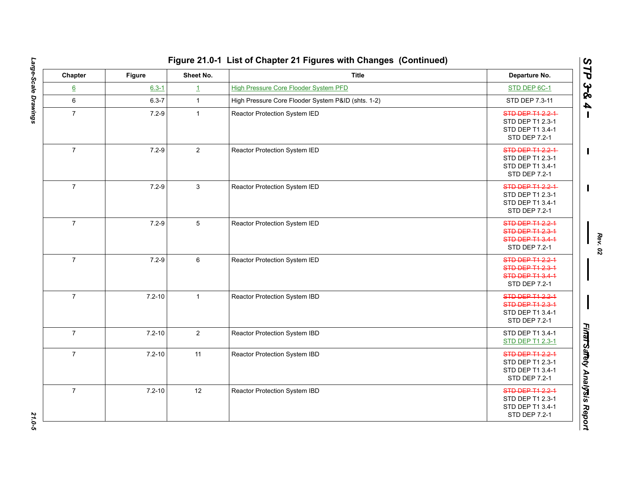| Chapter          | <b>Figure</b> | Sheet No.      | <b>Title</b>                                       | Departure No.                                                                                  |
|------------------|---------------|----------------|----------------------------------------------------|------------------------------------------------------------------------------------------------|
| $6 \overline{6}$ | $6.3 - 1$     | $\mathbf{1}$   | <b>High Pressure Core Flooder System PFD</b>       | STD DEP 6C-1                                                                                   |
| $\,6\,$          | $6.3 - 7$     | $\mathbf{1}$   | High Pressure Core Flooder System P&ID (shts. 1-2) | STD DEP 7.3-11                                                                                 |
| $\overline{7}$   | $7.2 - 9$     | $\mathbf{1}$   | Reactor Protection System IED                      | STD DEP T1 2.2-1<br>STD DEP T1 2.3-1<br>STD DEP T1 3.4-1<br>STD DEP 7.2-1                      |
| $\overline{7}$   | $7.2 - 9$     | $\overline{2}$ | Reactor Protection System IED                      | STD DEP T1 2.2-1<br>STD DEP T1 2.3-1<br>STD DEP T1 3.4-1<br>STD DEP 7.2-1                      |
| $\overline{7}$   | $7.2 - 9$     | 3              | Reactor Protection System IED                      | STD DEP T1 2.2-1<br>STD DEP T1 2.3-1<br>STD DEP T1 3.4-1<br>STD DEP 7.2-1                      |
| $\overline{7}$   | $7.2 - 9$     | 5              | Reactor Protection System IED                      | <b>STD DEP T1 2.2-1</b><br><b>STD DEP T1 2.3-1</b><br><b>STD DEP T1 3.4-1</b><br>STD DEP 7.2-1 |
| $\overline{7}$   | $7.2 - 9$     | 6              | Reactor Protection System IED                      | STD DEP T1 2.2-1<br><b>STD DEP T1 2.3-1</b><br>STD DEP T1 3.4-1<br>STD DEP 7.2-1               |
| $\overline{7}$   | $7.2 - 10$    | $\mathbf{1}$   | Reactor Protection System IBD                      | <b>STD DEP T1 2.2-1</b><br>STD DEP T1 2.3-1<br>STD DEP T1 3.4-1<br>STD DEP 7.2-1               |
| $\overline{7}$   | $7.2 - 10$    | $\overline{2}$ | Reactor Protection System IBD                      | STD DEP T1 3.4-1<br>STD DEP T1 2.3-1                                                           |
| $\overline{7}$   | $7.2 - 10$    | 11             | Reactor Protection System IBD                      | STD DEP T1 2.2-1<br>STD DEP T1 2.3-1<br>STD DEP T1 3.4-1<br>STD DEP 7.2-1                      |
| $\overline{7}$   | $7.2 - 10$    | 12             | Reactor Protection System IBD                      | STD DEP T1 2.2-1<br>STD DEP T1 2.3-1<br>STD DEP T1 3.4-1<br>STD DEP 7.2-1                      |

Large-Scale Drawings *Large-Scale Drawings 21.0-5*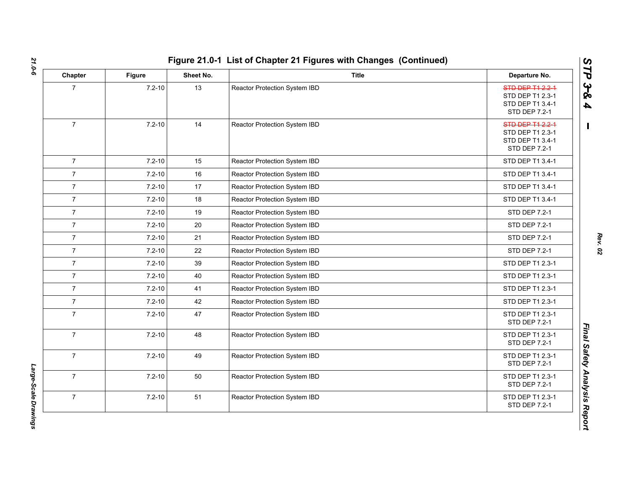| Chapter        | <b>Figure</b> | Sheet No. | <b>Title</b>                  | Departure No.                                                                    |
|----------------|---------------|-----------|-------------------------------|----------------------------------------------------------------------------------|
| $\overline{7}$ | $7.2 - 10$    | 13        | Reactor Protection System IBD | STD DEP T1 2.2-1<br>STD DEP T1 2.3-1<br>STD DEP T1 3.4-1<br>STD DEP 7.2-1        |
| $\overline{7}$ | $7.2 - 10$    | 14        | Reactor Protection System IBD | <b>STD DEP T1 2.2-1</b><br>STD DEP T1 2.3-1<br>STD DEP T1 3.4-1<br>STD DEP 7.2-1 |
| $\overline{7}$ | $7.2 - 10$    | 15        | Reactor Protection System IBD | STD DEP T1 3.4-1                                                                 |
| $\overline{7}$ | $7.2 - 10$    | 16        | Reactor Protection System IBD | STD DEP T1 3.4-1                                                                 |
| $\overline{7}$ | $7.2 - 10$    | 17        | Reactor Protection System IBD | STD DEP T1 3.4-1                                                                 |
| $\overline{7}$ | $7.2 - 10$    | 18        | Reactor Protection System IBD | STD DEP T1 3.4-1                                                                 |
| $\overline{7}$ | $7.2 - 10$    | 19        | Reactor Protection System IBD | STD DEP 7.2-1                                                                    |
| $\overline{7}$ | $7.2 - 10$    | 20        | Reactor Protection System IBD | STD DEP 7.2-1                                                                    |
| $\overline{7}$ | $7.2 - 10$    | 21        | Reactor Protection System IBD | STD DEP 7.2-1                                                                    |
| $\overline{7}$ | $7.2 - 10$    | 22        | Reactor Protection System IBD | STD DEP 7.2-1                                                                    |
| $\overline{7}$ | $7.2 - 10$    | 39        | Reactor Protection System IBD | STD DEP T1 2.3-1                                                                 |
| $\overline{7}$ | $7.2 - 10$    | 40        | Reactor Protection System IBD | STD DEP T1 2.3-1                                                                 |
| $\overline{7}$ | $7.2 - 10$    | 41        | Reactor Protection System IBD | STD DEP T1 2.3-1                                                                 |
| $\overline{7}$ | $7.2 - 10$    | 42        | Reactor Protection System IBD | STD DEP T1 2.3-1                                                                 |
| $\overline{7}$ | $7.2 - 10$    | 47        | Reactor Protection System IBD | STD DEP T1 2.3-1<br>STD DEP 7.2-1                                                |
| $\overline{7}$ | $7.2 - 10$    | 48        | Reactor Protection System IBD | STD DEP T1 2.3-1<br>STD DEP 7.2-1                                                |
| $\overline{7}$ | $7.2 - 10$    | 49        | Reactor Protection System IBD | STD DEP T1 2.3-1<br>STD DEP 7.2-1                                                |
| $\overline{7}$ | $7.2 - 10$    | 50        | Reactor Protection System IBD | STD DEP T1 2.3-1<br>STD DEP 7.2-1                                                |
| $\overline{7}$ | $7.2 - 10$    | 51        | Reactor Protection System IBD | STD DEP T1 2.3-1<br>STD DEP 7.2-1                                                |

*STP 3 & 4*

Large-Scale Drawings *Large-Scale Drawings*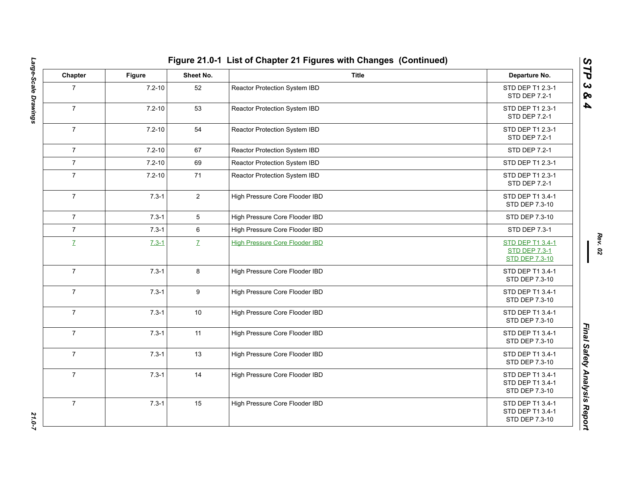| Chapter        | Figure     | Sheet No.      | <b>Title</b>                          | Departure No.                                                            |
|----------------|------------|----------------|---------------------------------------|--------------------------------------------------------------------------|
| $\overline{7}$ | $7.2 - 10$ | 52             | Reactor Protection System IBD         | STD DEP T1 2.3-1<br><b>STD DEP 7.2-1</b>                                 |
| $\overline{7}$ | $7.2 - 10$ | 53             | Reactor Protection System IBD         | STD DEP T1 2.3-1<br>STD DEP 7.2-1                                        |
| $\overline{7}$ | $7.2 - 10$ | 54             | Reactor Protection System IBD         | STD DEP T1 2.3-1<br>STD DEP 7.2-1                                        |
| $\overline{7}$ | $7.2 - 10$ | 67             | Reactor Protection System IBD         | <b>STD DEP 7.2-1</b>                                                     |
| $\overline{7}$ | $7.2 - 10$ | 69             | Reactor Protection System IBD         | STD DEP T1 2.3-1                                                         |
| $\overline{7}$ | $7.2 - 10$ | 71             | Reactor Protection System IBD         | STD DEP T1 2.3-1<br>STD DEP 7.2-1                                        |
| $\overline{7}$ | $7.3 - 1$  | $\overline{2}$ | High Pressure Core Flooder IBD        | STD DEP T1 3.4-1<br>STD DEP 7.3-10                                       |
| $\overline{7}$ | $7.3 - 1$  | 5              | High Pressure Core Flooder IBD        | STD DEP 7.3-10                                                           |
| $\overline{7}$ | $7.3 - 1$  | 6              | High Pressure Core Flooder IBD        | STD DEP 7.3-1                                                            |
| $\mathbf{Z}$   | $7.3 - 1$  | $\mathbf{Z}$   | <b>High Pressure Core Flooder IBD</b> | <b>STD DEP T1 3.4-1</b><br><b>STD DEP 7.3-1</b><br><b>STD DEP 7.3-10</b> |
| $\overline{7}$ | $7.3 - 1$  | 8              | High Pressure Core Flooder IBD        | STD DEP T1 3.4-1<br>STD DEP 7.3-10                                       |
| $\overline{7}$ | $7.3 - 1$  | 9              | High Pressure Core Flooder IBD        | STD DEP T1 3.4-1<br>STD DEP 7.3-10                                       |
| $\overline{7}$ | $7.3 - 1$  | 10             | High Pressure Core Flooder IBD        | STD DEP T1 3.4-1<br>STD DEP 7.3-10                                       |
| $\overline{7}$ | $7.3 - 1$  | 11             | High Pressure Core Flooder IBD        | STD DEP T1 3.4-1<br>STD DEP 7.3-10                                       |
| $\overline{7}$ | $7.3 - 1$  | 13             | High Pressure Core Flooder IBD        | STD DEP T1 3.4-1<br>STD DEP 7.3-10                                       |
| $\overline{7}$ | $7.3 - 1$  | 14             | High Pressure Core Flooder IBD        | STD DEP T1 3.4-1<br>STD DEP T1 3.4-1<br>STD DEP 7.3-10                   |
| $\overline{7}$ | $7.3 - 1$  | 15             | High Pressure Core Flooder IBD        | STD DEP T1 3.4-1<br>STD DEP T1 3.4-1<br>STD DEP 7.3-10                   |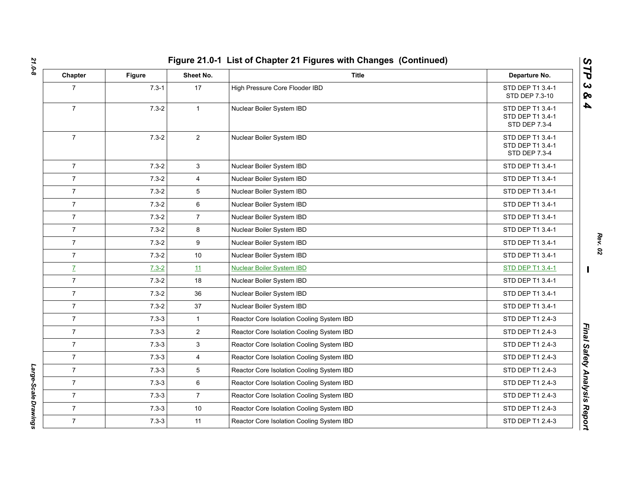| Chapter        | <b>Figure</b> | Sheet No.      | <b>Title</b>                              | Departure No.                                         |
|----------------|---------------|----------------|-------------------------------------------|-------------------------------------------------------|
| $\overline{7}$ | $7.3 - 1$     | 17             | High Pressure Core Flooder IBD            | STD DEP T1 3.4-1<br>STD DEP 7.3-10                    |
| $\overline{7}$ | $7.3 - 2$     | $\mathbf{1}$   | Nuclear Boiler System IBD                 | STD DEP T1 3.4-1<br>STD DEP T1 3.4-1<br>STD DEP 7.3-4 |
| $\overline{7}$ | $7.3 - 2$     | $\overline{2}$ | Nuclear Boiler System IBD                 | STD DEP T1 3.4-1<br>STD DEP T1 3.4-1<br>STD DEP 7.3-4 |
| $\overline{7}$ | $7.3 - 2$     | 3              | Nuclear Boiler System IBD                 | STD DEP T1 3.4-1                                      |
| $\overline{7}$ | $7.3 - 2$     | 4              | Nuclear Boiler System IBD                 | STD DEP T1 3.4-1                                      |
| $\overline{7}$ | $7.3 - 2$     | 5              | Nuclear Boiler System IBD                 | STD DEP T1 3.4-1                                      |
| $\overline{7}$ | $7.3 - 2$     | 6              | Nuclear Boiler System IBD                 | STD DEP T1 3.4-1                                      |
| $\overline{7}$ | $7.3 - 2$     | $\overline{7}$ | Nuclear Boiler System IBD                 | STD DEP T1 3.4-1                                      |
| $\overline{7}$ | $7.3 - 2$     | 8              | Nuclear Boiler System IBD                 | STD DEP T1 3.4-1                                      |
| $\overline{7}$ | $7.3 - 2$     | 9              | Nuclear Boiler System IBD                 | STD DEP T1 3.4-1                                      |
| $\overline{7}$ | $7.3 - 2$     | 10             | Nuclear Boiler System IBD                 | STD DEP T1 3.4-1                                      |
| $\mathbf{Z}$   | $7.3 - 2$     | 11             | <b>Nuclear Boiler System IBD</b>          | STD DEP T1 3.4-1                                      |
| $\overline{7}$ | $7.3 - 2$     | 18             | Nuclear Boiler System IBD                 | STD DEP T1 3.4-1                                      |
| $\overline{7}$ | $7.3 - 2$     | 36             | Nuclear Boiler System IBD                 | STD DEP T1 3.4-1                                      |
| $\overline{7}$ | $7.3 - 2$     | 37             | Nuclear Boiler System IBD                 | STD DEP T1 3.4-1                                      |
| $\overline{7}$ | $7.3 - 3$     | $\mathbf{1}$   | Reactor Core Isolation Cooling System IBD | STD DEP T1 2.4-3                                      |
| $\overline{7}$ | $7.3 - 3$     | $\overline{2}$ | Reactor Core Isolation Cooling System IBD | STD DEP T1 2.4-3                                      |
| $\overline{7}$ | $7.3 - 3$     | 3              | Reactor Core Isolation Cooling System IBD | STD DEP T1 2.4-3                                      |
| $\overline{7}$ | $7.3 - 3$     | $\overline{4}$ | Reactor Core Isolation Cooling System IBD | STD DEP T1 2.4-3                                      |
| $\overline{7}$ | $7.3 - 3$     | 5              | Reactor Core Isolation Cooling System IBD | STD DEP T1 2.4-3                                      |
| $\overline{7}$ | $7.3 - 3$     | 6              | Reactor Core Isolation Cooling System IBD | STD DEP T1 2.4-3                                      |
| $\overline{7}$ | $7.3 - 3$     | $\overline{7}$ | Reactor Core Isolation Cooling System IBD | STD DEP T1 2.4-3                                      |
| $\overline{7}$ | $7.3 - 3$     | 10             | Reactor Core Isolation Cooling System IBD | STD DEP T1 2.4-3                                      |
| $\overline{7}$ | $7.3 - 3$     | 11             | Reactor Core Isolation Cooling System IBD | STD DEP T1 2.4-3                                      |
|                |               |                |                                           |                                                       |

Large-Scale Drawings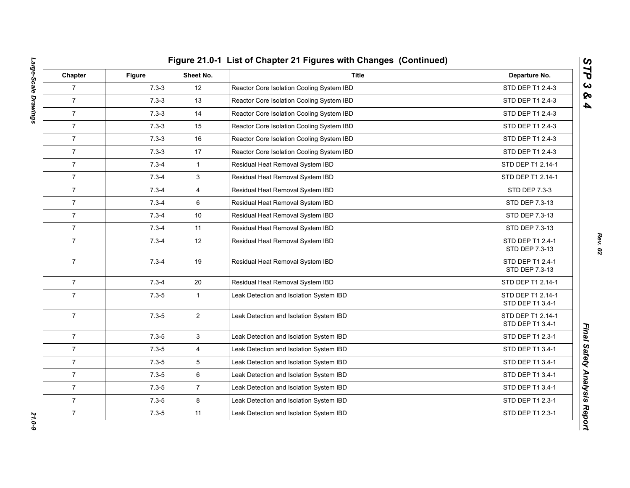| Chapter        | <b>Figure</b> | Sheet No.      | <b>Title</b>                              | Departure No.                         |
|----------------|---------------|----------------|-------------------------------------------|---------------------------------------|
| $\overline{7}$ | $7.3 - 3$     | 12             | Reactor Core Isolation Cooling System IBD | STD DEP T1 2.4-3                      |
| $\overline{7}$ | $7.3 - 3$     | 13             | Reactor Core Isolation Cooling System IBD | STD DEP T1 2.4-3                      |
| $\overline{7}$ | $7.3 - 3$     | 14             | Reactor Core Isolation Cooling System IBD | STD DEP T1 2.4-3                      |
| $\overline{7}$ | $7.3 - 3$     | 15             | Reactor Core Isolation Cooling System IBD | STD DEP T1 2.4-3                      |
| $\overline{7}$ | $7.3 - 3$     | 16             | Reactor Core Isolation Cooling System IBD | STD DEP T1 2.4-3                      |
| $\overline{7}$ | $7.3 - 3$     | 17             | Reactor Core Isolation Cooling System IBD | STD DEP T1 2.4-3                      |
| $\overline{7}$ | $7.3 - 4$     | $\mathbf{1}$   | Residual Heat Removal System IBD          | STD DEP T1 2.14-1                     |
| $\overline{7}$ | $7.3 - 4$     | 3              | Residual Heat Removal System IBD          | STD DEP T1 2.14-1                     |
| $\overline{7}$ | $7.3 - 4$     | $\overline{4}$ | Residual Heat Removal System IBD          | STD DEP 7.3-3                         |
| $\overline{7}$ | $7.3 - 4$     | 6              | Residual Heat Removal System IBD          | STD DEP 7.3-13                        |
| $\overline{7}$ | $7.3 - 4$     | 10             | Residual Heat Removal System IBD          | STD DEP 7.3-13                        |
| $\overline{7}$ | $7.3 - 4$     | 11             | Residual Heat Removal System IBD          | STD DEP 7.3-13                        |
| $\overline{7}$ | $7.3 - 4$     | 12             | Residual Heat Removal System IBD          | STD DEP T1 2.4-1<br>STD DEP 7.3-13    |
| $\overline{7}$ | $7.3 - 4$     | 19             | Residual Heat Removal System IBD          | STD DEP T1 2.4-1<br>STD DEP 7.3-13    |
| $\overline{7}$ | $7.3 - 4$     | 20             | Residual Heat Removal System IBD          | STD DEP T1 2.14-1                     |
| $\overline{7}$ | $7.3 - 5$     | $\mathbf{1}$   | Leak Detection and Isolation System IBD   | STD DEP T1 2.14-1<br>STD DEP T1 3.4-1 |
| $\overline{7}$ | $7.3 - 5$     | $\overline{2}$ | Leak Detection and Isolation System IBD   | STD DEP T1 2.14-1<br>STD DEP T1 3.4-1 |
| $\overline{7}$ | $7.3 - 5$     | 3              | Leak Detection and Isolation System IBD   | STD DEP T1 2.3-1                      |
| $\overline{7}$ | $7.3 - 5$     | $\overline{4}$ | Leak Detection and Isolation System IBD   | STD DEP T1 3.4-1                      |
| $\overline{7}$ | $7.3 - 5$     | 5              | Leak Detection and Isolation System IBD   | STD DEP T1 3.4-1                      |
| $\overline{7}$ | $7.3 - 5$     | 6              | Leak Detection and Isolation System IBD   | STD DEP T1 3.4-1                      |
| $\overline{7}$ | $7.3 - 5$     | $\overline{7}$ | Leak Detection and Isolation System IBD   | STD DEP T1 3.4-1                      |
| $\overline{7}$ | $7.3 - 5$     | $\bf 8$        | Leak Detection and Isolation System IBD   | STD DEP T1 2.3-1                      |
| $\overline{7}$ | $7.3 - 5$     | 11             | Leak Detection and Isolation System IBD   | STD DEP T1 2.3-1                      |

*STP 3 & 4*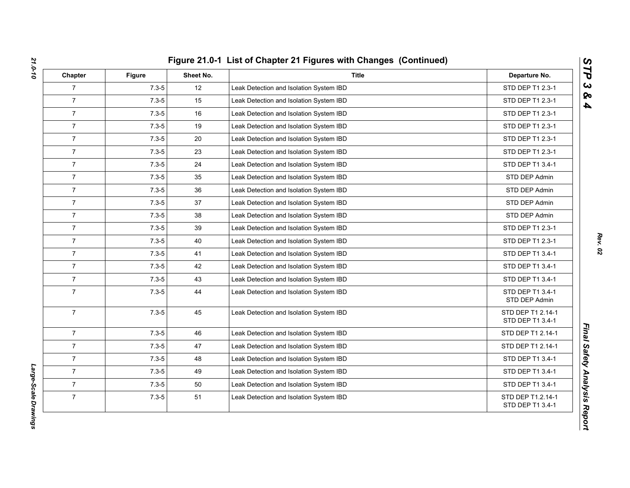| Chapter        | <b>Figure</b> | Sheet No. | <b>Title</b>                            | Departure No.                         |
|----------------|---------------|-----------|-----------------------------------------|---------------------------------------|
| $\overline{7}$ | $7.3 - 5$     | 12        | Leak Detection and Isolation System IBD | STD DEP T1 2.3-1                      |
| $\overline{7}$ | $7.3 - 5$     | 15        | Leak Detection and Isolation System IBD | STD DEP T1 2.3-1                      |
| $\overline{7}$ | $7.3 - 5$     | 16        | Leak Detection and Isolation System IBD | STD DEP T1 2.3-1                      |
| $\overline{7}$ | $7.3 - 5$     | 19        | Leak Detection and Isolation System IBD | STD DEP T1 2.3-1                      |
| $\overline{7}$ | $7.3 - 5$     | 20        | Leak Detection and Isolation System IBD | STD DEP T1 2.3-1                      |
| $\overline{7}$ | $7.3 - 5$     | 23        | Leak Detection and Isolation System IBD | STD DEP T1 2.3-1                      |
| $\overline{7}$ | $7.3 - 5$     | 24        | Leak Detection and Isolation System IBD | STD DEP T1 3.4-1                      |
| $\overline{7}$ | $7.3 - 5$     | 35        | Leak Detection and Isolation System IBD | STD DEP Admin                         |
| $\overline{7}$ | $7.3 - 5$     | 36        | Leak Detection and Isolation System IBD | STD DEP Admin                         |
| $\overline{7}$ | $7.3 - 5$     | 37        | Leak Detection and Isolation System IBD | STD DEP Admin                         |
| $\overline{7}$ | $7.3 - 5$     | 38        | Leak Detection and Isolation System IBD | STD DEP Admin                         |
| $\overline{7}$ | $7.3 - 5$     | 39        | Leak Detection and Isolation System IBD | STD DEP T1 2.3-1                      |
| $\overline{7}$ | $7.3 - 5$     | 40        | Leak Detection and Isolation System IBD | STD DEP T1 2.3-1                      |
| $\overline{7}$ | $7.3 - 5$     | 41        | Leak Detection and Isolation System IBD | STD DEP T1 3.4-1                      |
| $\overline{7}$ | $7.3 - 5$     | 42        | Leak Detection and Isolation System IBD | STD DEP T1 3.4-1                      |
| $\overline{7}$ | $7.3 - 5$     | 43        | Leak Detection and Isolation System IBD | STD DEP T1 3.4-1                      |
| $\overline{7}$ | $7.3 - 5$     | 44        | Leak Detection and Isolation System IBD | STD DEP T1 3.4-1<br>STD DEP Admin     |
| $\overline{7}$ | $7.3 - 5$     | 45        | Leak Detection and Isolation System IBD | STD DEP T1 2.14-1<br>STD DEP T1 3.4-1 |
| $\overline{7}$ | $7.3 - 5$     | 46        | Leak Detection and Isolation System IBD | STD DEP T1 2.14-1                     |
| $\overline{7}$ | $7.3 - 5$     | 47        | Leak Detection and Isolation System IBD | STD DEP T1 2.14-1                     |
| $\overline{7}$ | $7.3 - 5$     | 48        | Leak Detection and Isolation System IBD | STD DEP T1 3.4-1                      |
| $\overline{7}$ | $7.3 - 5$     | 49        | Leak Detection and Isolation System IBD | STD DEP T1 3.4-1                      |
| $\overline{7}$ | $7.3 - 5$     | 50        | Leak Detection and Isolation System IBD | STD DEP T1 3.4-1                      |
| $\overline{7}$ | $7.3 - 5$     | 51        | Leak Detection and Isolation System IBD | STD DEP T1.2.14-1<br>STD DEP T1 3.4-1 |

Large-Scale Drawings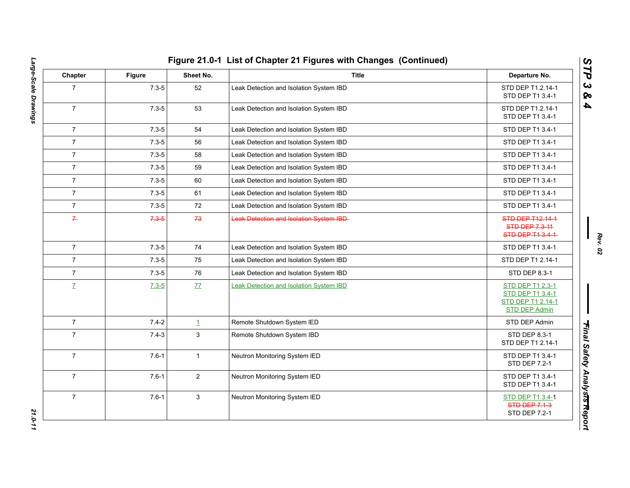| Chapter        | <b>Figure</b> | Sheet No.      | <b>Title</b>                                    | Departure No.                                                                                   |
|----------------|---------------|----------------|-------------------------------------------------|-------------------------------------------------------------------------------------------------|
| $\overline{7}$ | $7.3 - 5$     | 52             | Leak Detection and Isolation System IBD         | STD DEP T1.2.14-1<br>STD DEP T1 3.4-1                                                           |
| $\overline{7}$ | $7.3 - 5$     | 53             | Leak Detection and Isolation System IBD         | STD DEP T1.2.14-1<br>STD DEP T1 3.4-1                                                           |
| $\overline{7}$ | $7.3 - 5$     | 54             | Leak Detection and Isolation System IBD         | STD DEP T1 3.4-1                                                                                |
| $\overline{7}$ | $7.3 - 5$     | 56             | Leak Detection and Isolation System IBD         | STD DEP T1 3.4-1                                                                                |
| $\overline{7}$ | $7.3 - 5$     | 58             | Leak Detection and Isolation System IBD         | STD DEP T1 3.4-1                                                                                |
| $\overline{7}$ | $7.3 - 5$     | 59             | Leak Detection and Isolation System IBD         | STD DEP T1 3.4-1                                                                                |
| $\overline{7}$ | $7.3 - 5$     | 60             | Leak Detection and Isolation System IBD         | STD DEP T1 3.4-1                                                                                |
| $\overline{7}$ | $7.3 - 5$     | 61             | Leak Detection and Isolation System IBD         | STD DEP T1 3.4-1                                                                                |
| $\overline{7}$ | $7.3 - 5$     | 72             | Leak Detection and Isolation System IBD         | STD DEP T1 3.4-1                                                                                |
| $\overline{r}$ | $7.3 - 5$     | 73             | <b>Leak Detection and Isolation System IBD-</b> | <b>STD DEP T12.14-1</b><br><b>STD DEP 7.3-11</b><br>STD DEP T1 3.4-1                            |
| $\overline{7}$ | $7.3 - 5$     | 74             | Leak Detection and Isolation System IBD         | STD DEP T1 3.4-1                                                                                |
| $\overline{7}$ | $7.3 - 5$     | 75             | Leak Detection and Isolation System IBD         | STD DEP T1 2.14-1                                                                               |
| $\overline{7}$ | $7.3 - 5$     | 76             | Leak Detection and Isolation System IBD         | STD DEP 8.3-1                                                                                   |
| $\mathbf{Z}$   | $7.3 - 5$     | 77             | Leak Detection and Isolation System IBD         | <b>STD DEP T1 2.3-1</b><br><b>STD DEP T1 3.4-1</b><br>STD DEP T1 2.14-1<br><b>STD DEP Admin</b> |
| $\overline{7}$ | $7.4 - 2$     | $\perp$        | Remote Shutdown System IED                      | STD DEP Admin                                                                                   |
| $\overline{7}$ | $7.4 - 3$     | $\mathbf{3}$   | Remote Shutdown System IBD                      | STD DEP 8.3-1<br>STD DEP T1 2.14-1                                                              |
| $\overline{7}$ | $7.6 - 1$     | $\mathbf{1}$   | Neutron Monitoring System IED                   | STD DEP T1 3.4-1<br>STD DEP 7.2-1                                                               |
| $\overline{7}$ | $7.6 - 1$     | $\overline{2}$ | Neutron Monitoring System IED                   | STD DEP T1 3.4-1<br>STD DEP T1 3.4-1                                                            |
| $\overline{7}$ | $7.6 - 1$     | 3              | Neutron Monitoring System IED                   | STD DEP T1 3.4-1<br><b>STD DEP 7.1-3</b><br>STD DEP 7.2-1                                       |

Large-Scale Drawings *Large-Scale Drawings 21.0-11*

*Rev. 02*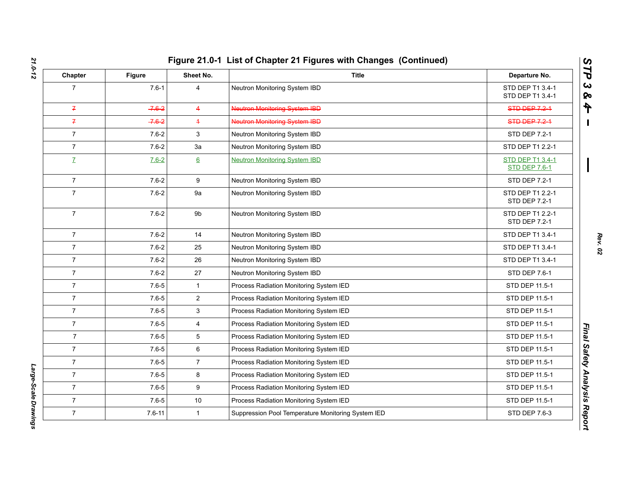| Chapter        | Figure     | Sheet No.        | <b>Title</b>                                       | Departure No.                            |
|----------------|------------|------------------|----------------------------------------------------|------------------------------------------|
| $\overline{7}$ | $7.6 - 1$  | $\overline{4}$   | Neutron Monitoring System IBD                      | STD DEP T1 3.4-1<br>STD DEP T1 3.4-1     |
| $\overline{f}$ | $-7.6 - 2$ | $\overline{4}$   | <b>Neutron Monitoring System IBD</b>               | <b>STD DEP 7.2-1</b>                     |
| $\overline{f}$ | $-7.6 - 2$ | $\overline{4}$   | Neutron Monitoring System IBD                      | STD DEP 7.2-1                            |
| $\overline{7}$ | $7.6 - 2$  | 3                | Neutron Monitoring System IBD                      | STD DEP 7.2-1                            |
| $\overline{7}$ | $7.6 - 2$  | За               | Neutron Monitoring System IBD                      | STD DEP T1 2.2-1                         |
| $\mathbf{Z}$   | $7.6 - 2$  | $6 \overline{6}$ | <b>Neutron Monitoring System IBD</b>               | STD DEP T1 3.4-1<br><b>STD DEP 7.6-1</b> |
| $\overline{7}$ | $7.6 - 2$  | 9                | Neutron Monitoring System IBD                      | STD DEP 7.2-1                            |
| $\overline{7}$ | $7.6 - 2$  | 9a               | Neutron Monitoring System IBD                      | STD DEP T1 2.2-1<br>STD DEP 7.2-1        |
| $\overline{7}$ | $7.6 - 2$  | 9b               | Neutron Monitoring System IBD                      | STD DEP T1 2.2-1<br><b>STD DEP 7.2-1</b> |
| $\overline{7}$ | $7.6 - 2$  | 14               | Neutron Monitoring System IBD                      | STD DEP T1 3.4-1                         |
| $\overline{7}$ | $7.6 - 2$  | 25               | Neutron Monitoring System IBD                      | STD DEP T1 3.4-1                         |
| $\overline{7}$ | $7.6 - 2$  | 26               | Neutron Monitoring System IBD                      | STD DEP T1 3.4-1                         |
| $\overline{7}$ | $7.6 - 2$  | 27               | Neutron Monitoring System IBD                      | STD DEP 7.6-1                            |
| $\overline{7}$ | $7.6 - 5$  | $\mathbf{1}$     | Process Radiation Monitoring System IED            | STD DEP 11.5-1                           |
| $\overline{7}$ | $7.6 - 5$  | $\overline{2}$   | Process Radiation Monitoring System IED            | STD DEP 11.5-1                           |
| $\overline{7}$ | $7.6 - 5$  | 3                | Process Radiation Monitoring System IED            | STD DEP 11.5-1                           |
| $\overline{7}$ | $7.6 - 5$  | 4                | Process Radiation Monitoring System IED            | STD DEP 11.5-1                           |
| $\overline{7}$ | $7.6 - 5$  | 5                | Process Radiation Monitoring System IED            | STD DEP 11.5-1                           |
| $\overline{7}$ | $7.6 - 5$  | 6                | Process Radiation Monitoring System IED            | STD DEP 11.5-1                           |
| $\overline{7}$ | $7.6 - 5$  | $\overline{7}$   | Process Radiation Monitoring System IED            | STD DEP 11.5-1                           |
| $\overline{7}$ | $7.6 - 5$  | 8                | Process Radiation Monitoring System IED            | STD DEP 11.5-1                           |
| $\overline{7}$ | $7.6 - 5$  | $\boldsymbol{9}$ | Process Radiation Monitoring System IED            | STD DEP 11.5-1                           |
| $\overline{7}$ | $7.6 - 5$  | $10$             | Process Radiation Monitoring System IED            | STD DEP 11.5-1                           |
| $\overline{7}$ | $7.6 - 11$ | $\mathbf{1}$     | Suppression Pool Temperature Monitoring System IED | STD DEP 7.6-3                            |

Large-Scale Drawings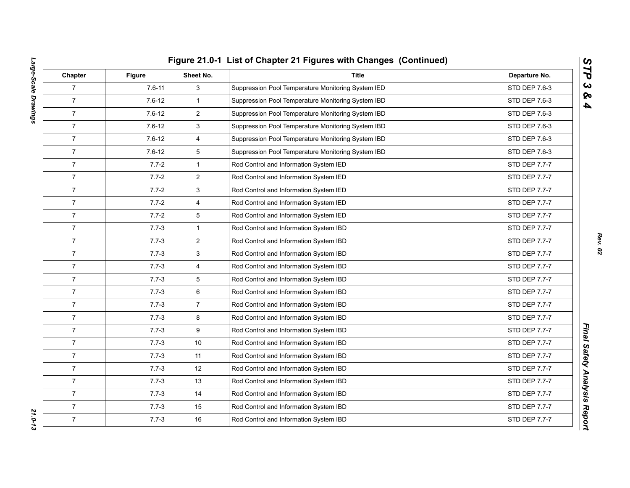|                |            | Figure 21.0-1 List of Chapter 21 Figures with Changes (Continued) |                                                    |               |  |
|----------------|------------|-------------------------------------------------------------------|----------------------------------------------------|---------------|--|
| Chapter        | Figure     | Sheet No.                                                         | <b>Title</b>                                       | Departure No. |  |
| $\overline{7}$ | $7.6 - 11$ | 3                                                                 | Suppression Pool Temperature Monitoring System IED | STD DEP 7.6-3 |  |
| $\overline{7}$ | $7.6 - 12$ | $\mathbf{1}$                                                      | Suppression Pool Temperature Monitoring System IBD | STD DEP 7.6-3 |  |
| $\overline{7}$ | $7.6 - 12$ | $\overline{2}$                                                    | Suppression Pool Temperature Monitoring System IBD | STD DEP 7.6-3 |  |
| $\overline{7}$ | $7.6 - 12$ | 3                                                                 | Suppression Pool Temperature Monitoring System IBD | STD DEP 7.6-3 |  |
| $\overline{7}$ | $7.6 - 12$ | $\overline{4}$                                                    | Suppression Pool Temperature Monitoring System IBD | STD DEP 7.6-3 |  |
| $\overline{7}$ | $7.6 - 12$ | 5                                                                 | Suppression Pool Temperature Monitoring System IBD | STD DEP 7.6-3 |  |
| $\overline{7}$ | $7.7 - 2$  | $\mathbf{1}$                                                      | Rod Control and Information System IED             | STD DEP 7.7-7 |  |
| $\overline{7}$ | $7.7 - 2$  | $\overline{2}$                                                    | Rod Control and Information System IED             | STD DEP 7.7-7 |  |
| $\overline{7}$ | $7.7 - 2$  | 3                                                                 | Rod Control and Information System IED             | STD DEP 7.7-7 |  |
| $\overline{7}$ | $7.7 - 2$  | 4                                                                 | Rod Control and Information System IED             | STD DEP 7.7-7 |  |
| $\overline{7}$ | $7.7 - 2$  | 5                                                                 | Rod Control and Information System IED             | STD DEP 7.7-7 |  |
| $\overline{7}$ | $7.7 - 3$  | $\mathbf{1}$                                                      | Rod Control and Information System IBD             | STD DEP 7.7-7 |  |
| $\overline{7}$ | $7.7 - 3$  | $\overline{2}$                                                    | Rod Control and Information System IBD             | STD DEP 7.7-7 |  |
| $\overline{7}$ | $7.7 - 3$  | 3                                                                 | Rod Control and Information System IBD             | STD DEP 7.7-7 |  |
| $\overline{7}$ | $7.7 - 3$  | $\overline{4}$                                                    | Rod Control and Information System IBD             | STD DEP 7.7-7 |  |
| $\overline{7}$ | $7.7 - 3$  | 5                                                                 | Rod Control and Information System IBD             | STD DEP 7.7-7 |  |
| $\overline{7}$ | $7.7 - 3$  | 6                                                                 | Rod Control and Information System IBD             | STD DEP 7.7-7 |  |
| $\overline{7}$ | $7.7 - 3$  | $\overline{7}$                                                    | Rod Control and Information System IBD             | STD DEP 7.7-7 |  |
| $\overline{7}$ | $7.7 - 3$  | 8                                                                 | Rod Control and Information System IBD             | STD DEP 7.7-7 |  |
| $\overline{7}$ | $7.7 - 3$  | 9                                                                 | Rod Control and Information System IBD             | STD DEP 7.7-7 |  |
| $\overline{7}$ | $7.7 - 3$  | 10                                                                | Rod Control and Information System IBD             | STD DEP 7.7-7 |  |
| $\overline{7}$ | $7.7 - 3$  | 11                                                                | Rod Control and Information System IBD             | STD DEP 7.7-7 |  |
| $\overline{7}$ | $7.7 - 3$  | 12                                                                | Rod Control and Information System IBD             | STD DEP 7.7-7 |  |
| $\overline{7}$ | $7.7 - 3$  | 13                                                                | Rod Control and Information System IBD             | STD DEP 7.7-7 |  |
| $\overline{7}$ | $7.7 - 3$  | 14                                                                | Rod Control and Information System IBD             | STD DEP 7.7-7 |  |
| $\overline{7}$ | $7.7 - 3$  | 15                                                                | Rod Control and Information System IBD             | STD DEP 7.7-7 |  |
| $\overline{7}$ | $7.7 - 3$  | 16                                                                | Rod Control and Information System IBD             | STD DEP 7.7-7 |  |

*Rev. 02*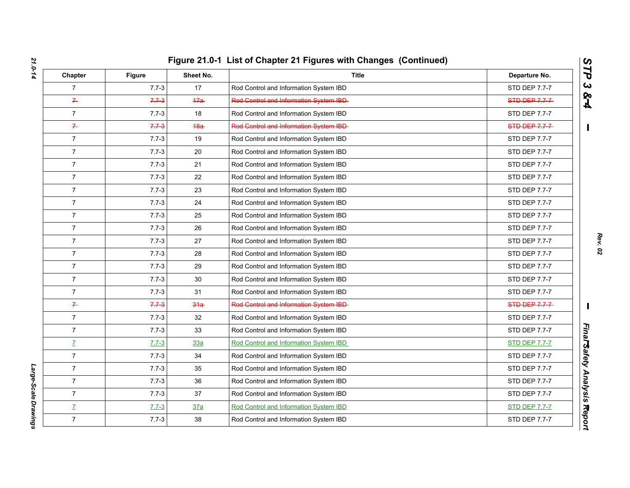| Chapter        | <b>Figure</b> | Sheet No.  | <b>Title</b>                            | Departure No.        |
|----------------|---------------|------------|-----------------------------------------|----------------------|
| $\overline{7}$ | $7.7 - 3$     | 17         | Rod Control and Information System IBD  | STD DEP 7.7-7        |
| $\overline{r}$ | $7.7 - 3$     | 47a        | Red Control and Information System IBD- | STD DEP 7.7-7        |
| $\overline{7}$ | $7.7 - 3$     | 18         | Rod Control and Information System IBD  | STD DEP 7.7-7        |
| $\overline{r}$ | $7.7 - 3$     | 48a        | Red Centrol and Information System IBD  | STD DEP 7.7-7        |
| $\overline{7}$ | $7.7 - 3$     | 19         | Rod Control and Information System IBD  | STD DEP 7.7-7        |
| $\overline{7}$ | $7.7 - 3$     | 20         | Rod Control and Information System IBD  | STD DEP 7.7-7        |
| $\overline{7}$ | $7.7 - 3$     | 21         | Rod Control and Information System IBD  | STD DEP 7.7-7        |
| $\overline{7}$ | $7.7 - 3$     | 22         | Rod Control and Information System IBD  | STD DEP 7.7-7        |
| $\overline{7}$ | $7.7 - 3$     | 23         | Rod Control and Information System IBD  | STD DEP 7.7-7        |
| $\overline{7}$ | $7.7 - 3$     | 24         | Rod Control and Information System IBD  | STD DEP 7.7-7        |
| $\overline{7}$ | $7.7 - 3$     | 25         | Rod Control and Information System IBD  | STD DEP 7.7-7        |
| $\overline{7}$ | $7.7 - 3$     | 26         | Rod Control and Information System IBD  | STD DEP 7.7-7        |
| $\overline{7}$ | $7.7 - 3$     | 27         | Rod Control and Information System IBD  | STD DEP 7.7-7        |
| $\overline{7}$ | $7.7 - 3$     | 28         | Rod Control and Information System IBD  | STD DEP 7.7-7        |
| $\overline{7}$ | $7.7 - 3$     | 29         | Rod Control and Information System IBD  | STD DEP 7.7-7        |
| $\overline{7}$ | $7.7 - 3$     | 30         | Rod Control and Information System IBD  | STD DEP 7.7-7        |
| $\overline{7}$ | $7.7 - 3$     | 31         | Rod Control and Information System IBD  | STD DEP 7.7-7        |
| $7 -$          | $7.7 - 3$     | $34a -$    | Red Control and Information System IBD- | STD DEP 7.7-7        |
| $\overline{7}$ | $7.7 - 3$     | 32         | Rod Control and Information System IBD  | STD DEP 7.7-7        |
| $\overline{7}$ | $7.7 - 3$     | 33         | Rod Control and Information System IBD  | STD DEP 7.7-7        |
| $\mathbf{Z}$   | $7.7 - 3$     | <u>33a</u> | Rod Control and Information System IBD  | <b>STD DEP 7.7-7</b> |
| $\overline{7}$ | $7.7 - 3$     | 34         | Rod Control and Information System IBD  | STD DEP 7.7-7        |
| $\overline{7}$ | $7.7 - 3$     | 35         | Rod Control and Information System IBD  | STD DEP 7.7-7        |
| $\overline{7}$ | $7.7 - 3$     | 36         | Rod Control and Information System IBD  | STD DEP 7.7-7        |
| $\overline{7}$ | $7.7 - 3$     | 37         | Rod Control and Information System IBD  | STD DEP 7.7-7        |
| $\mathbf{Z}$   | $7.7 - 3$     | 37a        | Rod Control and Information System IBD  | <b>STD DEP 7.7-7</b> |
| $\overline{7}$ | $7.7 - 3$     | 38         | Rod Control and Information System IBD  | STD DEP 7.7-7        |

*STP 3 & 4*

Large-Scale Drawings *Large-Scale Drawings*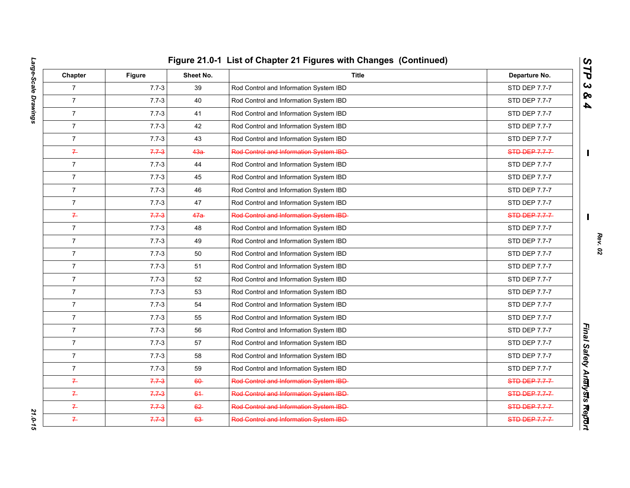|                |               |           | Figure 21.0-1 List of Chapter 21 Figures with Changes (Continued) |                |  |  |
|----------------|---------------|-----------|-------------------------------------------------------------------|----------------|--|--|
| Chapter        | <b>Figure</b> | Sheet No. | <b>Title</b>                                                      | Departure No.  |  |  |
| $\overline{7}$ | $7.7 - 3$     | 39        | Rod Control and Information System IBD                            | STD DEP 7.7-7  |  |  |
| $\overline{7}$ | $7.7 - 3$     | 40        | Rod Control and Information System IBD                            | STD DEP 7.7-7  |  |  |
| $\overline{7}$ | $7.7 - 3$     | 41        | Rod Control and Information System IBD                            | STD DEP 7.7-7  |  |  |
| $\overline{7}$ | $7.7 - 3$     | 42        | Rod Control and Information System IBD                            | STD DEP 7.7-7  |  |  |
| $\overline{7}$ | $7.7 - 3$     | 43        | Rod Control and Information System IBD                            | STD DEP 7.7-7  |  |  |
| $\overline{r}$ | $7.7 - 3$     | $43a -$   | Rod Control and Information System IBD-                           | STD-DEP-7.7-7- |  |  |
| $\overline{7}$ | $7.7 - 3$     | 44        | Rod Control and Information System IBD                            | STD DEP 7.7-7  |  |  |
| $\overline{7}$ | $7.7 - 3$     | 45        | Rod Control and Information System IBD                            | STD DEP 7.7-7  |  |  |
| $\overline{7}$ | $7.7 - 3$     | 46        | Rod Control and Information System IBD                            | STD DEP 7.7-7  |  |  |
| $\overline{7}$ | $7.7 - 3$     | 47        | Rod Control and Information System IBD                            | STD DEP 7.7-7  |  |  |
| $\overline{f}$ | $7.7 - 3$     | 47a       | Red Centrol and Information System IBD                            | STD-DEP-7-7-7- |  |  |
| $\overline{7}$ | $7.7 - 3$     | 48        | Rod Control and Information System IBD                            | STD DEP 7.7-7  |  |  |
| $\overline{7}$ | $7.7 - 3$     | 49        | Rod Control and Information System IBD                            | STD DEP 7.7-7  |  |  |
| $\overline{7}$ | $7.7 - 3$     | 50        | Rod Control and Information System IBD                            | STD DEP 7.7-7  |  |  |
| $\overline{7}$ | $7.7 - 3$     | 51        | Rod Control and Information System IBD                            | STD DEP 7.7-7  |  |  |
| $\overline{7}$ | $7.7 - 3$     | 52        | Rod Control and Information System IBD                            | STD DEP 7.7-7  |  |  |
| $\overline{7}$ | $7.7 - 3$     | 53        | Rod Control and Information System IBD                            | STD DEP 7.7-7  |  |  |
| $\overline{7}$ | $7.7 - 3$     | 54        | Rod Control and Information System IBD                            | STD DEP 7.7-7  |  |  |
| $\overline{7}$ | $7.7 - 3$     | 55        | Rod Control and Information System IBD                            | STD DEP 7.7-7  |  |  |
| $\overline{7}$ | $7.7 - 3$     | 56        | Rod Control and Information System IBD                            | STD DEP 7.7-7  |  |  |
| $\overline{7}$ | $7.7 - 3$     | 57        | Rod Control and Information System IBD                            | STD DEP 7.7-7  |  |  |
| $\overline{7}$ | $7.7 - 3$     | 58        | Rod Control and Information System IBD                            | STD DEP 7.7-7  |  |  |
| $\overline{7}$ | $7.7 - 3$     | 59        | Rod Control and Information System IBD                            | STD DEP 7.7-7  |  |  |
| $\overline{r}$ | $7.7 - 3$     | $60 -$    | Rod Control and Information System IBD-                           | STD DEP 7.7-7  |  |  |
| $\overline{r}$ | $7.7 - 3$     | $64-$     | Red Centrol and Information System IBD-                           | STD DEP 7.7-7  |  |  |
| $\overline{r}$ | $7.7 - 3$     | $62 -$    | Red Centrol and Information System IBD-                           | STD-DEP-7-7-7- |  |  |
| $\leftarrow$   | $7.7 - 3$     | 63        | Rod Control and Information System IBD-                           | STD DEP 7.7-7  |  |  |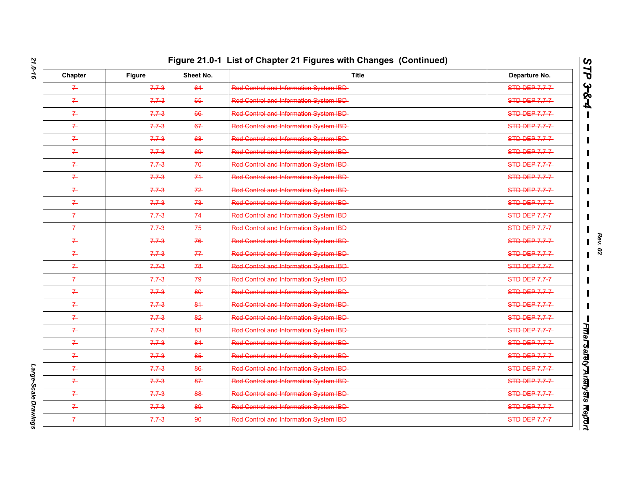| Chapter        | <b>Figure</b> | Sheet No. | <b>Title</b>                            | Departure No.         |
|----------------|---------------|-----------|-----------------------------------------|-----------------------|
| $\mathcal{I}$  | $7.7 - 3$     | 64        | Red Control and Information System IBD- | $STD$ DEP 7.7-7       |
| $\overline{r}$ | $7.7 - 3$     | 65        | Rod Control and Information System IBD- | <b>STD DEP 7.7-7-</b> |
| $\overline{r}$ | $7.7 - 3$     | 66        | Red Control and Information System IBD- | <b>STD DEP 7.7-7-</b> |
| $\mathcal{F}$  | $7.7 - 3$     | 67        | Red Centrel and Information System IBD- | STD DEP 7.7-7         |
| $\leftarrow$   | $7.7 - 3$     | 68        | Red Control and Information System IBD- | <b>STD DEP 7.7-7-</b> |
| $\overline{r}$ | $7.7 - 3$     | 69        | Red Control and Information System IBD- | <b>STD DEP 7.7-7-</b> |
| $\leftarrow$   | $7.7 - 3$     | $70 -$    | Red Control and Information System IBD- | STD DEP 7.7-7         |
| $\leftarrow$   | $7.7 - 3$     | 74        | Red Control and Information System IBD- | <b>STD DEP 7.7-7-</b> |
| $\overline{r}$ | $7.7 - 3$     | $72 -$    | Rod Control and Information System IBD- | <b>STD DEP 7.7-7-</b> |
| $\overline{r}$ | $7.7 - 3$     | $73 -$    | Red Control and Information System IBD- | STD DEP 7.7-7         |
| $\overline{r}$ | $7.7 - 3$     | 74        | Red Centrel and Information System IBD- | STD-DEP 7.7-7         |
| $\overline{r}$ | $7.7 - 3$     | $75 -$    | Red Centrel and Information System IBD- | <b>STD DEP 7.7-7-</b> |
| $\overline{r}$ | $7.7 - 3$     | 76        | Red Centrel and Information System IBD- | <b>STD DEP 7.7-7</b>  |
| $\overline{f}$ | $7.7 - 3$     | 77        | Red Centrel and Information System IBD- | STD DEP 7.7-7         |
| $\leftarrow$   | $7.7 - 3$     | 78        | Red Control and Information System IBD- | <b>STD DEP 7.7-7-</b> |
| $\leftarrow$   | $7.7 - 3$     | 79        | Rod Control and Information System IBD- | STD DEP 7.7-7         |
| $\overline{r}$ | $7.7 - 3$     | $80 -$    | Red Centrol and Information System IBD- | STD DEP 7.7-7         |
| $\leftarrow$   | $7.7 - 3$     | $84 -$    | Red Centrel and Information System IBD- | <b>STD DEP 7.7-7-</b> |
| $\overline{r}$ | $7.7 - 3$     | $82 -$    | Red Centrol and Information System IBD- | STD-DEP-7.7-7-        |
| $\mathcal{F}$  | $7.7 - 3$     | 83        | Rod Control and Information System IBD- | STD DEP 7.7-7         |
| $\overline{r}$ | $7.7 - 3$     | 84        | Red Control and Information System IBD- | STD DEP 7.7-7         |
| $\overline{r}$ | $7.7 - 3$     | 85        | Red Centrel and Information System IBD- | STD DEP 7.7-7         |
| $\overline{P}$ | $7.7 - 3$     | 86        | Red Centrel and Information System IBD- | STD DEP 7.7-7         |
| $\leftarrow$   | $7.7 - 3$     | 87        | Rod Control and Information System IBD- | <b>STD DEP 7.7-7-</b> |
| $\overline{r}$ | $7.7 - 3$     | 88        | Rod Control and Information System IBD- | STD DEP 7.7-7         |
| $\overline{f}$ | $7.7 - 3$     | 89        | Rod Control and Information System IBD- | $STD$ DEP 7.7-7       |
| $\overline{r}$ | $7.7 - 3$     | $90 -$    | Red Control and Information System IBD- | <b>STD DEP 7.7-7-</b> |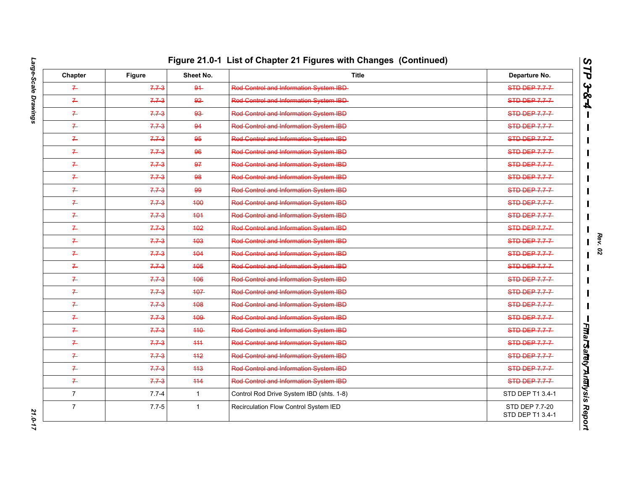| Chapter        | <b>Figure</b> | Sheet No.    | <b>Title</b>                                  | Departure No.                      |
|----------------|---------------|--------------|-----------------------------------------------|------------------------------------|
| $\mathcal{F}$  | $7.7 - 3$     | $94 -$       | Red Centrol and Information System IBD-       | STD DEP 7.7-7                      |
| $7 -$          | $7.7 - 3$     | $92 -$       | Red Control and Information System IBD-       | STD-DEP-7.7-7-                     |
| $\leftarrow$   | $7.7 - 3$     | $93 -$       | Red Control and Information System IBD        | <b>STD DEP 7.7-7-</b>              |
| $\overline{r}$ | $7.7 - 3$     | 94           | Red Centrel and Information System IBD        | STD DEP 7.7-7                      |
| $7 -$          | $7.7 - 3$     | 95           | Red Control and Information System IBD        | <b>STD DEP 7.7-7-</b>              |
| $\leftarrow$   | $7.7 - 3$     | 96           | Red Control and Information System IBD        | <b>STD DEP 7.7-7-</b>              |
| $\overline{r}$ | $7.7 - 3$     | 97           | Red Centrel and Information System IBD        | STD DEP 7.7-7                      |
| $\leftarrow$   | $7.7 - 3$     | 98           | Red Control and Information System IBD        | <b>STD DEP 7.7-7-</b>              |
| $\overline{r}$ | $7.7 - 3$     | 99           | Rod Control and Information System IBD        | <b>STD DEP 7.7-7-</b>              |
| $7 -$          | $7.7 - 3$     | 400          | Red Centrel and Information System IBD        | STD DEP 7.7-7                      |
| $\mathcal{F}$  | $7.7 - 3$     | 404          | <b>Red Centrol and Information System IBD</b> | <b>STD DEP 7.7-7-</b>              |
| $\overline{r}$ | $7.7 - 3$     | 402          | Red Control and Information System IBD        | <b>STD DEP 7.7-7-</b>              |
| $\overline{r}$ | $7.7 - 3$     | 403          | Red Centrel and Information System IBD        | STD DEP 7.7-7                      |
| $\mathbb{Z}$   | $7.7 - 3$     | 404          | Red Control and Information System IBD        | STD DEP 7.7-7                      |
| $7 -$          | $7.7 - 3$     | 405          | Red Control and Information System IBD        | <b>STD DEP 7.7-7-</b>              |
| $\mathbb{Z}$   | $7.7 - 3$     | 406          | <b>Red Centrol and Information System IBD</b> | STD DEP 7.7-7                      |
| $\mathbb{Z}$   | $7.7 - 3$     | 407          | <b>Red Centrol and Information System IBD</b> | STD DEP 7.7-7                      |
| $7 -$          | $7.7 - 3$     | 408          | Rod Control and Information System IBD        | STD DEP 7.7-7                      |
| $\leftarrow$   | $7.7 - 3$     | <b>409</b>   | Red Centrel and Information System IBD        | STD DEP 7.7-7                      |
| $7 -$          | $7.7 - 3$     | 440          | Red Centrel and Information System IBD        | STD-DEP-7.7-7-                     |
| $\overline{r}$ | $7.7 - 3$     | $+11$        | Red Control and Information System IBD        | STD-DEP-7.7-7-                     |
| $\overline{r}$ | $7.7 - 3$     | 442          | <b>Red Centrel and Information System IBD</b> | STD DEP 7.7-7                      |
| $\mathbb{Z}$   | $7.7 - 3$     | 443          | <b>Red Centrel and Information System IBD</b> | STD DEP 7.7-7                      |
| $7 -$          | $7.7 - 3$     | 444          | Red Control and Information System IBD        | STD DEP 7.7-7                      |
| $\overline{7}$ | $7.7 - 4$     | $\mathbf{1}$ | Control Rod Drive System IBD (shts. 1-8)      | STD DEP T1 3.4-1                   |
| $\overline{7}$ | $7.7 - 5$     | $\mathbf{1}$ | Recirculation Flow Control System IED         | STD DEP 7.7-20<br>STD DEP T1 3.4-1 |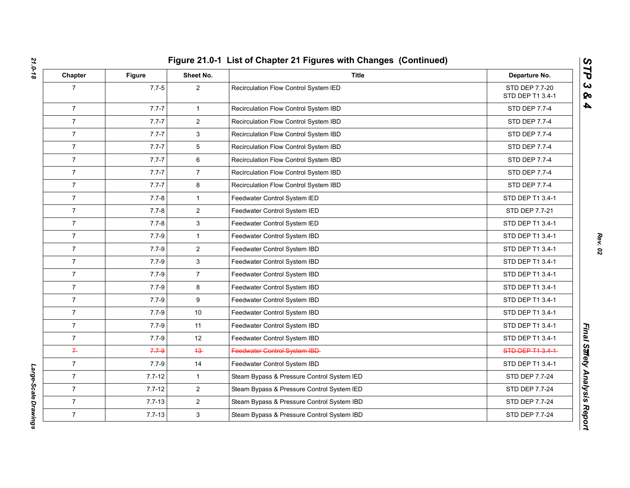| Chapter        | <b>Figure</b> | Sheet No.      | <b>Title</b>                               | Departure No.                      |
|----------------|---------------|----------------|--------------------------------------------|------------------------------------|
| $\overline{7}$ | $7.7 - 5$     | $\overline{2}$ | Recirculation Flow Control System IED      | STD DEP 7.7-20<br>STD DEP T1 3.4-1 |
| $\overline{7}$ | $7.7 - 7$     | $\mathbf 1$    | Recirculation Flow Control System IBD      | STD DEP 7.7-4                      |
| $\overline{7}$ | $7.7 - 7$     | $\overline{2}$ | Recirculation Flow Control System IBD      | STD DEP 7.7-4                      |
| $\overline{7}$ | $7.7 - 7$     | 3              | Recirculation Flow Control System IBD      | STD DEP 7.7-4                      |
| $\overline{7}$ | $7.7 - 7$     | 5              | Recirculation Flow Control System IBD      | STD DEP 7.7-4                      |
| $\overline{7}$ | $7.7 - 7$     | 6              | Recirculation Flow Control System IBD      | STD DEP 7.7-4                      |
| $\overline{7}$ | $7.7 - 7$     | $\overline{7}$ | Recirculation Flow Control System IBD      | <b>STD DEP 7.7-4</b>               |
| $\overline{7}$ | $7.7 - 7$     | 8              | Recirculation Flow Control System IBD      | STD DEP 7.7-4                      |
| $\overline{7}$ | $7.7 - 8$     | $\mathbf{1}$   | Feedwater Control System IED               | STD DEP T1 3.4-1                   |
| $\overline{7}$ | $7.7 - 8$     | $\overline{2}$ | Feedwater Control System IED               | STD DEP 7.7-21                     |
| $\overline{7}$ | $7.7 - 8$     | 3              | Feedwater Control System IED               | STD DEP T1 3.4-1                   |
| $\overline{7}$ | $7.7 - 9$     | $\mathbf{1}$   | Feedwater Control System IBD               | STD DEP T1 3.4-1                   |
| $\overline{7}$ | $7.7 - 9$     | $\overline{c}$ | Feedwater Control System IBD               | STD DEP T1 3.4-1                   |
| $\overline{7}$ | $7.7 - 9$     | 3              | Feedwater Control System IBD               | STD DEP T1 3.4-1                   |
| $\overline{7}$ | $7.7 - 9$     | $\overline{7}$ | Feedwater Control System IBD               | STD DEP T1 3.4-1                   |
| $\overline{7}$ | $7.7 - 9$     | 8              | Feedwater Control System IBD               | STD DEP T1 3.4-1                   |
| $\overline{7}$ | $7.7 - 9$     | 9              | Feedwater Control System IBD               | STD DEP T1 3.4-1                   |
| $\overline{7}$ | $7.7 - 9$     | 10             | Feedwater Control System IBD               | STD DEP T1 3.4-1                   |
| $\overline{7}$ | $7.7 - 9$     | 11             | Feedwater Control System IBD               | STD DEP T1 3.4-1                   |
| $\overline{7}$ | $7.7 - 9$     | 12             | Feedwater Control System IBD               | STD DEP T1 3.4-1                   |
| $\overline{r}$ | $7.7 - 9$     | $43 -$         | Feedwater Control System IBD-              | STD DEP T1 3.4-1                   |
| $\overline{7}$ | $7.7 - 9$     | 14             | Feedwater Control System IBD               | STD DEP T1 3.4-1                   |
| $\overline{7}$ | $7.7 - 12$    | $\mathbf{1}$   | Steam Bypass & Pressure Control System IED | STD DEP 7.7-24                     |
| $\overline{7}$ | $7.7 - 12$    | $\overline{2}$ | Steam Bypass & Pressure Control System IED | STD DEP 7.7-24                     |
| $\overline{7}$ | $7.7 - 13$    | $\overline{2}$ | Steam Bypass & Pressure Control System IBD | STD DEP 7.7-24                     |
| $\overline{7}$ | $7.7 - 13$    | 3              | Steam Bypass & Pressure Control System IBD | STD DEP 7.7-24                     |

Large-Scale Drawings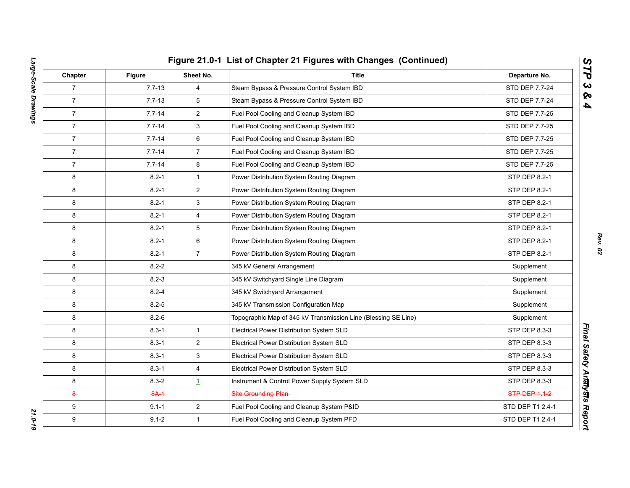|  | Figure 21.0-1 List of Chapter 21 Figures with Changes (Continued) |  |  |
|--|-------------------------------------------------------------------|--|--|
|  |                                                                   |  |  |

| Chapter        | <b>Figure</b> | Sheet No.      | <b>Title</b>                                                   | Departure No.        |
|----------------|---------------|----------------|----------------------------------------------------------------|----------------------|
| $\overline{7}$ | $7.7 - 13$    | 4              | Steam Bypass & Pressure Control System IBD                     | STD DEP 7.7-24       |
| $\overline{7}$ | $7.7 - 13$    | 5              | Steam Bypass & Pressure Control System IBD                     | STD DEP 7.7-24       |
| $\overline{7}$ | $7.7 - 14$    | $\overline{2}$ | Fuel Pool Cooling and Cleanup System IBD                       | STD DEP 7.7-25       |
| $\overline{7}$ | $7.7 - 14$    | 3              | Fuel Pool Cooling and Cleanup System IBD                       | STD DEP 7.7-25       |
| $\overline{7}$ | $7.7 - 14$    | 6              | Fuel Pool Cooling and Cleanup System IBD                       | STD DEP 7.7-25       |
| $\overline{7}$ | $7.7 - 14$    | $\overline{7}$ | Fuel Pool Cooling and Cleanup System IBD                       | STD DEP 7.7-25       |
| $\overline{7}$ | $7.7 - 14$    | 8              | Fuel Pool Cooling and Cleanup System IBD                       | STD DEP 7.7-25       |
| 8              | $8.2 - 1$     | $\mathbf{1}$   | Power Distribution System Routing Diagram                      | STP DEP 8.2-1        |
| 8              | $8.2 - 1$     | $\overline{2}$ | Power Distribution System Routing Diagram                      | STP DEP 8.2-1        |
| 8              | $8.2 - 1$     | 3              | Power Distribution System Routing Diagram                      | <b>STP DEP 8.2-1</b> |
| 8              | $8.2 - 1$     | $\overline{4}$ | Power Distribution System Routing Diagram                      | STP DEP 8.2-1        |
| 8              | $8.2 - 1$     | 5              | Power Distribution System Routing Diagram                      | STP DEP 8.2-1        |
| 8              | $8.2 - 1$     | 6              | Power Distribution System Routing Diagram                      | STP DEP 8.2-1        |
| 8              | $8.2 - 1$     | $\overline{7}$ | Power Distribution System Routing Diagram                      | STP DEP 8.2-1        |
| 8              | $8.2 - 2$     |                | 345 kV General Arrangement                                     | Supplement           |
| 8              | $8.2 - 3$     |                | 345 kV Switchyard Single Line Diagram                          | Supplement           |
| 8              | $8.2 - 4$     |                | 345 kV Switchyard Arrangement                                  | Supplement           |
| 8              | $8.2 - 5$     |                | 345 kV Transmission Configuration Map                          | Supplement           |
| 8              | $8.2 - 6$     |                | Topographic Map of 345 kV Transmission Line (Blessing SE Line) | Supplement           |
| 8              | $8.3 - 1$     | $\mathbf{1}$   | Electrical Power Distribution System SLD                       | STP DEP 8.3-3        |
| 8              | $8.3 - 1$     | $\overline{a}$ | Electrical Power Distribution System SLD                       | STP DEP 8.3-3        |
| 8              | $8.3 - 1$     | 3              | Electrical Power Distribution System SLD                       | STP DEP 8.3-3        |
| 8              | $8.3 - 1$     | 4              | Electrical Power Distribution System SLD                       | STP DEP 8.3-3        |
| 8              | $8.3 - 2$     | $\perp$        | Instrument & Control Power Supply System SLD                   | STP DEP 8.3-3        |
| $\epsilon$     | $8A-1$        |                | Site Grounding Plan-                                           | STP DEP 1.1-2        |
| 9              | $9.1 - 1$     | $\overline{2}$ | Fuel Pool Cooling and Cleanup System P&ID                      | STD DEP T1 2.4-1     |
| 9              | $9.1 - 2$     | $\mathbf{1}$   | Fuel Pool Cooling and Cleanup System PFD                       | STD DEP T1 2.4-1     |

*STP 3 & 4*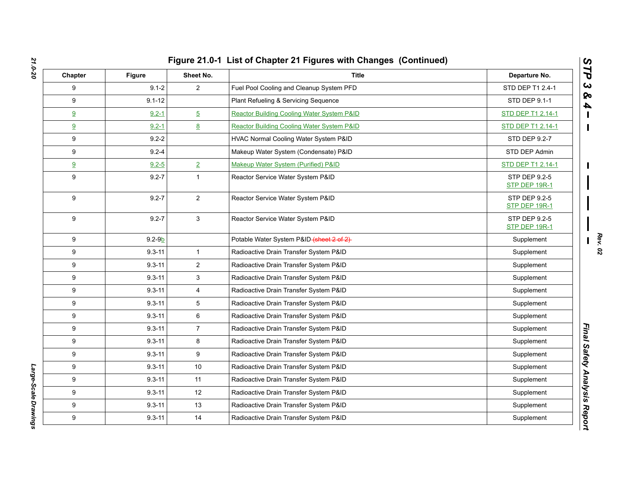| Chapter          | <b>Figure</b> | Sheet No.      | <b>Title</b>                               | Departure No.                  |
|------------------|---------------|----------------|--------------------------------------------|--------------------------------|
| 9                | $9.1 - 2$     | $\overline{2}$ | Fuel Pool Cooling and Cleanup System PFD   | STD DEP T1 2.4-1               |
| 9                | $9.1 - 12$    |                | Plant Refueling & Servicing Sequence       | STD DEP 9.1-1                  |
| 9                | $9.2 - 1$     | $\overline{5}$ | Reactor Building Cooling Water System P&ID | STD DEP T1 2.14-1              |
| 9                | $9.2 - 1$     | 8              | Reactor Building Cooling Water System P&ID | STD DEP T1 2.14-1              |
| 9                | $9.2 - 2$     |                | HVAC Normal Cooling Water System P&ID      | STD DEP 9.2-7                  |
| 9                | $9.2 - 4$     |                | Makeup Water System (Condensate) P&ID      | STD DEP Admin                  |
| 9                | $9.2 - 5$     | $\overline{2}$ | Makeup Water System (Purified) P&ID        | STD DEP T1 2.14-1              |
| 9                | $9.2 - 7$     | $\mathbf{1}$   | Reactor Service Water System P&ID          | STP DEP 9.2-5<br>STP DEP 19R-1 |
| 9                | $9.2 - 7$     | $\overline{2}$ | Reactor Service Water System P&ID          | STP DEP 9.2-5<br>STP DEP 19R-1 |
| 9                | $9.2 - 7$     | 3              | Reactor Service Water System P&ID          | STP DEP 9.2-5<br>STP DEP 19R-1 |
| 9                | $9.2 - 9b$    |                | Potable Water System P&ID (sheet 2 of 2)   | Supplement                     |
| 9                | $9.3 - 11$    | $\mathbf{1}$   | Radioactive Drain Transfer System P&ID     | Supplement                     |
| 9                | $9.3 - 11$    | $\overline{2}$ | Radioactive Drain Transfer System P&ID     | Supplement                     |
| 9                | $9.3 - 11$    | 3              | Radioactive Drain Transfer System P&ID     | Supplement                     |
| 9                | $9.3 - 11$    | 4              | Radioactive Drain Transfer System P&ID     | Supplement                     |
| 9                | $9.3 - 11$    | 5              | Radioactive Drain Transfer System P&ID     | Supplement                     |
| 9                | $9.3 - 11$    | $\,6\,$        | Radioactive Drain Transfer System P&ID     | Supplement                     |
| 9                | $9.3 - 11$    | $\overline{7}$ | Radioactive Drain Transfer System P&ID     | Supplement                     |
| 9                | $9.3 - 11$    | 8              | Radioactive Drain Transfer System P&ID     | Supplement                     |
| 9                | $9.3 - 11$    | 9              | Radioactive Drain Transfer System P&ID     | Supplement                     |
| 9                | $9.3 - 11$    | 10             | Radioactive Drain Transfer System P&ID     | Supplement                     |
| 9                | $9.3 - 11$    | 11             | Radioactive Drain Transfer System P&ID     | Supplement                     |
| 9                | $9.3 - 11$    | 12             | Radioactive Drain Transfer System P&ID     | Supplement                     |
| 9                | $9.3 - 11$    | 13             | Radioactive Drain Transfer System P&ID     | Supplement                     |
| $\boldsymbol{9}$ | $9.3 - 11$    | 14             | Radioactive Drain Transfer System P&ID     | Supplement                     |

Large-Scale Drawings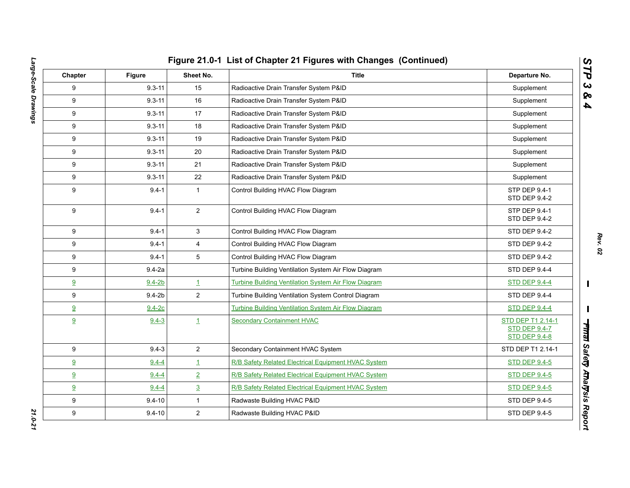| Chapter | Figure     | Sheet No.      | <b>Title</b>                                         | Departure No.                                                     |
|---------|------------|----------------|------------------------------------------------------|-------------------------------------------------------------------|
| 9       | $9.3 - 11$ | 15             | Radioactive Drain Transfer System P&ID               | Supplement                                                        |
| 9       | $9.3 - 11$ | 16             | Radioactive Drain Transfer System P&ID               | Supplement                                                        |
| 9       | $9.3 - 11$ | 17             | Radioactive Drain Transfer System P&ID               | Supplement                                                        |
| 9       | $9.3 - 11$ | 18             | Radioactive Drain Transfer System P&ID               | Supplement                                                        |
| 9       | $9.3 - 11$ | 19             | Radioactive Drain Transfer System P&ID               | Supplement                                                        |
| 9       | $9.3 - 11$ | 20             | Radioactive Drain Transfer System P&ID               | Supplement                                                        |
| 9       | $9.3 - 11$ | 21             | Radioactive Drain Transfer System P&ID               | Supplement                                                        |
| 9       | $9.3 - 11$ | 22             | Radioactive Drain Transfer System P&ID               | Supplement                                                        |
| 9       | $9.4 - 1$  | $\mathbf{1}$   | Control Building HVAC Flow Diagram                   | STP DEP 9.4-1<br>STD DEP 9.4-2                                    |
| 9       | $9.4 - 1$  | $\overline{2}$ | Control Building HVAC Flow Diagram                   | <b>STP DEP 9.4-1</b><br>STD DEP 9.4-2                             |
| 9       | $9.4 - 1$  | $\mathbf{3}$   | Control Building HVAC Flow Diagram                   | STD DEP 9.4-2                                                     |
| 9       | $9.4 - 1$  | $\overline{4}$ | Control Building HVAC Flow Diagram                   | STD DEP 9.4-2                                                     |
| 9       | $9.4 - 1$  | 5              | Control Building HVAC Flow Diagram                   | STD DEP 9.4-2                                                     |
| 9       | $9.4 - 2a$ |                | Turbine Building Ventilation System Air Flow Diagram | STD DEP 9.4-4                                                     |
| 9       | $9.4 - 2b$ | $\mathbf{1}$   | Turbine Building Ventilation System Air Flow Diagram | <b>STD DEP 9.4-4</b>                                              |
| 9       | $9.4 - 2b$ | $\overline{2}$ | Turbine Building Ventilation System Control Diagram  | STD DEP 9.4-4                                                     |
| 9       | $9.4 - 2c$ |                | Turbine Building Ventilation System Air Flow Diagram | <b>STD DEP 9.4-4</b>                                              |
| 9       | $9.4 - 3$  | $\mathbf{1}$   | <b>Secondary Containment HVAC</b>                    | STD DEP T1 2.14-1<br><b>STD DEP 9.4-7</b><br><b>STD DEP 9.4-8</b> |
| 9       | $9.4 - 3$  | $\overline{2}$ | Secondary Containment HVAC System                    | STD DEP T1 2.14-1                                                 |
| 9       | $9.4 - 4$  | $\mathbf{1}$   | R/B Safety Related Electrical Equipment HVAC System  | <b>STD DEP 9.4-5</b>                                              |
| 9       | $9.4 - 4$  | $\overline{2}$ | R/B Safety Related Electrical Equipment HVAC System  | <b>STD DEP 9.4-5</b>                                              |
| 9       | $9.4 - 4$  | $\overline{3}$ | R/B Safety Related Electrical Equipment HVAC System  | <b>STD DEP 9.4-5</b>                                              |
| 9       | $9.4 - 10$ | $\mathbf{1}$   | Radwaste Building HVAC P&ID                          | STD DEP 9.4-5                                                     |
| 9       | $9.4 - 10$ | $\overline{c}$ | Radwaste Building HVAC P&ID                          | STD DEP 9.4-5                                                     |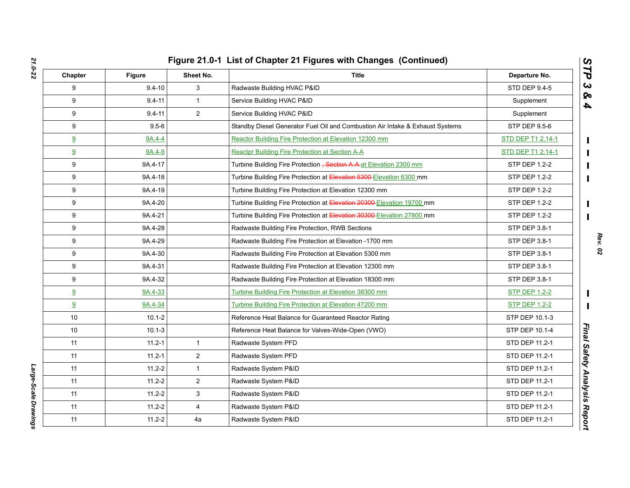| Chapter         | Figure     | Sheet No.      | <b>Title</b>                                                                   | Departure No.            |
|-----------------|------------|----------------|--------------------------------------------------------------------------------|--------------------------|
| 9               | $9.4 - 10$ | 3              | Radwaste Building HVAC P&ID                                                    | <b>STD DEP 9.4-5</b>     |
| 9               | $9.4 - 11$ | $\mathbf{1}$   | Service Building HVAC P&ID                                                     | Supplement               |
| 9               | $9.4 - 11$ | $\overline{2}$ | Service Building HVAC P&ID                                                     | Supplement               |
| 9               | $9.5 - 6$  |                | Standby Diesel Generator Fuel Oil and Combustion Air Intake & Exhaust Systems  | STP DEP 9.5-6            |
| 9               | 9A.4-4     |                | Reactor Building Fire Protection at Elevation 12300 mm                         | <b>STD DEP T1 2.14-1</b> |
| 9               | 9A.4-9     |                | Reactpr Building Fire Protection at Section A-A                                | STD DEP T1 2.14-1        |
| 9               | 9A.4-17    |                | Turbine Building Fire Protection <del>, Section A-A-at Elevation 2300 mm</del> | STP DEP 1.2-2            |
| 9               | 9A.4-18    |                | Turbine Building Fire Protection at Elevation 5300-Elevation 6300 mm           | STP DEP 1.2-2            |
| 9               | 9A.4-19    |                | Turbine Building Fire Protection at Elevation 12300 mm                         | STP DEP 1.2-2            |
| 9               | 9A.4-20    |                | Turbine Building Fire Protection at Elevation 20300 Elevation 19700 mm         | STP DEP 1.2-2            |
| 9               | 9A.4-21    |                | Turbine Building Fire Protection at Elevation 30300-Elevation 27800 mm         | STP DEP 1.2-2            |
| 9               | 9A.4-28    |                | Radwaste Building Fire Protection, RWB Sections                                | STP DEP 3.8-1            |
| 9               | 9A.4-29    |                | Radwaste Building Fire Protection at Elevation -1700 mm                        | STP DEP 3.8-1            |
| 9               | 9A.4-30    |                | Radwaste Building Fire Protection at Elevation 5300 mm                         | STP DEP 3.8-1            |
| 9               | 9A.4-31    |                | Radwaste Building Fire Protection at Elevation 12300 mm                        | STP DEP 3.8-1            |
| 9               | 9A.4-32    |                | Radwaste Building Fire Protection at Elevation 18300 mm                        | STP DEP 3.8-1            |
| 9               | 9A.4-33    |                | Turbine Building Fire Protection at Elevation 38300 mm                         | <b>STP DEP 1.2-2</b>     |
| 9               | 9A.4-34    |                | Turbine Building Fire Protection at Elevation 47200 mm                         | <b>STP DEP 1.2-2</b>     |
| 10 <sup>°</sup> | $10.1 - 2$ |                | Reference Heat Balance for Guaranteed Reactor Rating                           | STP DEP 10.1-3           |
| 10 <sup>°</sup> | $10.1 - 3$ |                | Reference Heat Balance for Valves-Wide-Open (VWO)                              | STP DEP 10.1-4           |
| 11              | $11.2 - 1$ | $\mathbf{1}$   | Radwaste System PFD                                                            | STD DEP 11.2-1           |
| 11              | $11.2 - 1$ | $\overline{2}$ | Radwaste System PFD                                                            | STD DEP 11.2-1           |
| 11              | $11.2 - 2$ | $\mathbf{1}$   | Radwaste System P&ID                                                           | STD DEP 11.2-1           |
| 11              | $11.2 - 2$ | $\overline{2}$ | Radwaste System P&ID                                                           | STD DEP 11.2-1           |
| 11              | $11.2 - 2$ | 3              | Radwaste System P&ID                                                           | STD DEP 11.2-1           |
| 11              | $11.2 - 2$ | $\overline{4}$ | Radwaste System P&ID                                                           | STD DEP 11.2-1           |
| 11              | $11.2 - 2$ | 4a             | Radwaste System P&ID                                                           | STD DEP 11.2-1           |

Large-Scale Drawings *Large-Scale Drawings*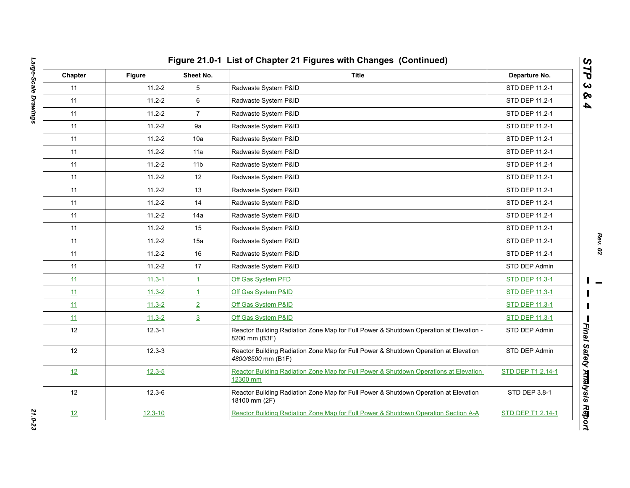| Chapter | <b>Figure</b> | Sheet No.       | <b>Title</b>                                                                                               | Departure No.         |
|---------|---------------|-----------------|------------------------------------------------------------------------------------------------------------|-----------------------|
| 11      | $11.2 - 2$    | 5               | Radwaste System P&ID                                                                                       | STD DEP 11.2-1        |
| 11      | $11.2 - 2$    | 6               | Radwaste System P&ID                                                                                       | STD DEP 11.2-1        |
| 11      | $11.2 - 2$    | $\overline{7}$  | Radwaste System P&ID                                                                                       | STD DEP 11.2-1        |
| 11      | $11.2 - 2$    | 9a              | Radwaste System P&ID                                                                                       | STD DEP 11.2-1        |
| 11      | $11.2 - 2$    | 10a             | Radwaste System P&ID                                                                                       | STD DEP 11.2-1        |
| 11      | $11.2 - 2$    | 11a             | Radwaste System P&ID                                                                                       | STD DEP 11.2-1        |
| 11      | $11.2 - 2$    | 11 <sub>b</sub> | Radwaste System P&ID                                                                                       | STD DEP 11.2-1        |
| 11      | $11.2 - 2$    | 12              | Radwaste System P&ID                                                                                       | STD DEP 11.2-1        |
| 11      | $11.2 - 2$    | 13              | Radwaste System P&ID                                                                                       | STD DEP 11.2-1        |
| 11      | $11.2 - 2$    | 14              | Radwaste System P&ID                                                                                       | STD DEP 11.2-1        |
| 11      | $11.2 - 2$    | 14a             | Radwaste System P&ID                                                                                       | STD DEP 11.2-1        |
| 11      | $11.2 - 2$    | 15              | Radwaste System P&ID                                                                                       | STD DEP 11.2-1        |
| 11      | $11.2 - 2$    | 15a             | Radwaste System P&ID                                                                                       | STD DEP 11.2-1        |
| 11      | $11.2 - 2$    | 16              | Radwaste System P&ID                                                                                       | STD DEP 11.2-1        |
| 11      | $11.2 - 2$    | 17              | Radwaste System P&ID                                                                                       | STD DEP Admin         |
| 11      | $11.3 - 1$    | $\mathbf{1}$    | Off Gas System PFD                                                                                         | <b>STD DEP 11.3-1</b> |
| 11      | $11.3 - 2$    | $\mathbf{1}$    | Off Gas System P&ID                                                                                        | <b>STD DEP 11.3-1</b> |
| 11      | $11.3 - 2$    | $\overline{2}$  | Off Gas System P&ID                                                                                        | <b>STD DEP 11.3-1</b> |
| 11      | $11.3 - 2$    | $\overline{3}$  | Off Gas System P&ID                                                                                        | <b>STD DEP 11.3-1</b> |
| 12      | $12.3 - 1$    |                 | Reactor Building Radiation Zone Map for Full Power & Shutdown Operation at Elevation -<br>8200 mm (B3F)    | STD DEP Admin         |
| 12      | $12.3 - 3$    |                 | Reactor Building Radiation Zone Map for Full Power & Shutdown Operation at Elevation<br>4800/8500 mm (B1F) | STD DEP Admin         |
| 12      | $12.3 - 5$    |                 | Reactor Building Radiation Zone Map for Full Power & Shutdown Operations at Elevation<br>12300 mm          | STD DEP T1 2.14-1     |
| 12      | $12.3 - 6$    |                 | Reactor Building Radiation Zone Map for Full Power & Shutdown Operation at Elevation<br>18100 mm (2F)      | STD DEP 3.8-1         |
| 12      | $12.3 - 10$   |                 | Reactor Building Radiation Zone Map for Full Power & Shutdown Operation Section A-A                        | STD DEP T1 2.14-1     |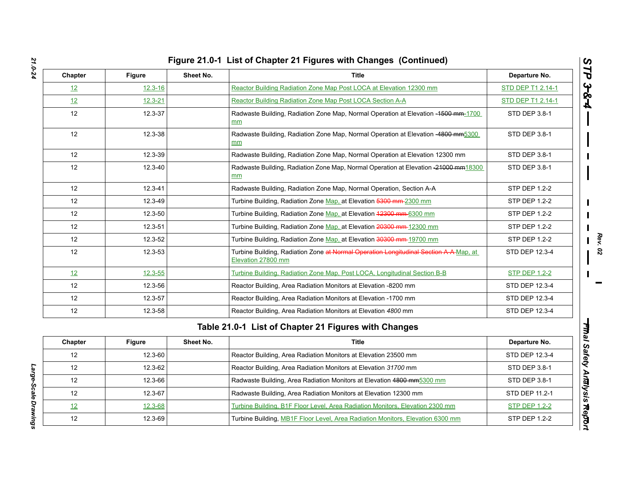|  | Figure 21.0-1 List of Chapter 21 Figures with Changes (Continued) |  |
|--|-------------------------------------------------------------------|--|
|  |                                                                   |  |

| Sheet No.<br><b>Title</b><br>Chapter<br>Departure No.<br>Figure |               |           |                                                                                                             |                      |  |
|-----------------------------------------------------------------|---------------|-----------|-------------------------------------------------------------------------------------------------------------|----------------------|--|
| 12                                                              | $12.3 - 16$   |           | Reactor Building Radiation Zone Map Post LOCA at Elevation 12300 mm                                         | STD DEP T1 2.14-1    |  |
| 12                                                              | $12.3 - 21$   |           | Reactor Building Radiation Zone Map Post LOCA Section A-A                                                   | STD DEP T1 2.14-1    |  |
| 12                                                              | 12.3-37       |           | Radwaste Building, Radiation Zone Map, Normal Operation at Elevation -1500 mm-1700<br>mm                    | STD DEP 3.8-1        |  |
| 12                                                              | 12.3-38       |           | Radwaste Building, Radiation Zone Map, Normal Operation at Elevation -4800 mm5300<br>mm                     | STD DEP 3.8-1        |  |
| 12                                                              | 12.3-39       |           | Radwaste Building, Radiation Zone Map, Normal Operation at Elevation 12300 mm                               | <b>STD DEP 3.8-1</b> |  |
| 12                                                              | 12.3-40       |           | Radwaste Building, Radiation Zone Map, Normal Operation at Elevation -21000 mm18300<br>mm                   | STD DEP 3.8-1        |  |
| 12                                                              | $12.3 - 41$   |           | Radwaste Building, Radiation Zone Map, Normal Operation, Section A-A                                        | <b>STP DEP 1.2-2</b> |  |
| 12                                                              | 12.3-49       |           | Turbine Building, Radiation Zone Map, at Elevation 5300 mm-2300 mm                                          | <b>STP DEP 1.2-2</b> |  |
| 12                                                              | 12.3-50       |           | Turbine Building, Radiation Zone Map, at Elevation 42300 mm-6300 mm                                         | STP DEP 1.2-2        |  |
| 12                                                              | 12.3-51       |           | Turbine Building, Radiation Zone Map, at Elevation 20300 mm-12300 mm                                        | <b>STP DEP 1.2-2</b> |  |
| 12                                                              | 12.3-52       |           | Turbine Building, Radiation Zone Map, at Elevation 30300 mm-19700 mm                                        | <b>STP DEP 1.2-2</b> |  |
| 12                                                              | $12.3 - 53$   |           | Turbine Building, Radiation Zone at Normal Operation Longitudinal Section A A Map. at<br>Elevation 27800 mm | STD DEP 12.3-4       |  |
| 12                                                              | $12.3 - 55$   |           | Turbine Building, Radiation Zone Map, Post LOCA, Longitudinal Section B-B                                   | <b>STP DEP 1.2-2</b> |  |
| 12                                                              | 12.3-56       |           | Reactor Building, Area Radiation Monitors at Elevation -8200 mm                                             | STD DEP 12.3-4       |  |
| 12                                                              | 12.3-57       |           | Reactor Building, Area Radiation Monitors at Elevation -1700 mm                                             | STD DEP 12.3-4       |  |
| 12                                                              | 12.3-58       |           | Reactor Building, Area Radiation Monitors at Elevation 4800 mm                                              | STD DEP 12.3-4       |  |
|                                                                 |               |           | Table 21.0-1 List of Chapter 21 Figures with Changes                                                        |                      |  |
| Chapter                                                         | <b>Figure</b> | Sheet No. | Title                                                                                                       | Departure No.        |  |
| 12                                                              | 12.3-60       |           | Reactor Building, Area Radiation Monitors at Elevation 23500 mm                                             | STD DEP 12.3-4       |  |
| 12                                                              | 12.3-62       |           | Reactor Building, Area Radiation Monitors at Elevation 31700 mm                                             | STD DEP 3.8-1        |  |
| 12                                                              | 12.3-66       |           | Radwaste Building, Area Radiation Monitors at Elevation 4800 mm5300 mm                                      | STD DEP 3.8-1        |  |
| 12                                                              | 12.3-67       |           | Radwaste Building, Area Radiation Monitors at Elevation 12300 mm                                            | STD DEP 11.2-1       |  |
| 12                                                              | 12.3-68       |           | Turbine Building, B1F Floor Level, Area Radiation Monitors, Elevation 2300 mm                               | <b>STP DEP 1.2-2</b> |  |
| 12                                                              | 12.3-69       |           | Turbine Building, MB1F Floor Level, Area Radiation Monitors, Elevation 6300 mm                              | <b>STP DEP 1.2-2</b> |  |

| Chapter | <b>Figure</b> | Sheet No. | <b>Title</b>                                                                   | Departure No.        |
|---------|---------------|-----------|--------------------------------------------------------------------------------|----------------------|
| 12      | $12.3 - 60$   |           | Reactor Building, Area Radiation Monitors at Elevation 23500 mm                | STD DEP 12.3-4       |
| 12      | $12.3 - 62$   |           | Reactor Building, Area Radiation Monitors at Elevation 31700 mm                | STD DEP 3.8-1        |
| 12      | $12.3 - 66$   |           | Radwaste Building, Area Radiation Monitors at Elevation 4800 mm5300 mm         | STD DEP 3.8-1        |
| 12      | $12.3 - 67$   |           | Radwaste Building, Area Radiation Monitors at Elevation 12300 mm               | STD DEP 11.2-1       |
| 12      | $12.3 - 68$   |           | Turbine Building, B1F Floor Level, Area Radiation Monitors, Elevation 2300 mm  | <b>STP DEP 1.2-2</b> |
| 12      | $12.3 - 69$   |           | Turbine Building, MB1F Floor Level, Area Radiation Monitors, Elevation 6300 mm | STP DEP 1.2-2        |